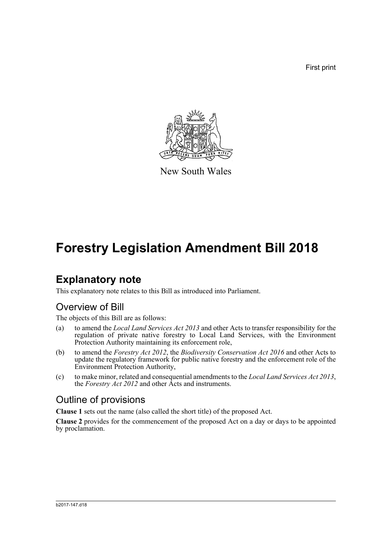First print



New South Wales

# **Forestry Legislation Amendment Bill 2018**

## **Explanatory note**

This explanatory note relates to this Bill as introduced into Parliament.

## Overview of Bill

The objects of this Bill are as follows:

- (a) to amend the *Local Land Services Act 2013* and other Acts to transfer responsibility for the regulation of private native forestry to Local Land Services, with the Environment Protection Authority maintaining its enforcement role,
- (b) to amend the *Forestry Act 2012*, the *Biodiversity Conservation Act 2016* and other Acts to update the regulatory framework for public native forestry and the enforcement role of the Environment Protection Authority,
- (c) to make minor, related and consequential amendments to the *Local Land Services Act 2013*, the *Forestry Act 2012* and other Acts and instruments.

## Outline of provisions

**Clause 1** sets out the name (also called the short title) of the proposed Act.

**Clause 2** provides for the commencement of the proposed Act on a day or days to be appointed by proclamation.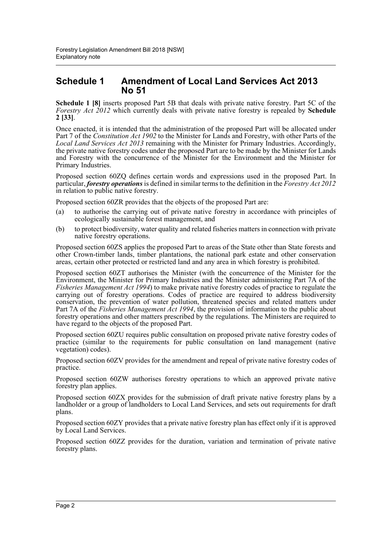### **Schedule 1 Amendment of Local Land Services Act 2013 No 51**

**Schedule 1 [8]** inserts proposed Part 5B that deals with private native forestry. Part 5C of the *Forestry Act 2012* which currently deals with private native forestry is repealed by **Schedule 2 [33]**.

Once enacted, it is intended that the administration of the proposed Part will be allocated under Part 7 of the *Constitution Act 1902* to the Minister for Lands and Forestry, with other Parts of the *Local Land Services Act 2013* remaining with the Minister for Primary Industries. Accordingly, the private native forestry codes under the proposed Part are to be made by the Minister for Lands and Forestry with the concurrence of the Minister for the Environment and the Minister for Primary Industries.

Proposed section 60ZQ defines certain words and expressions used in the proposed Part. In particular, *forestry operations* is defined in similar terms to the definition in the *Forestry Act 2012* in relation to public native forestry.

Proposed section 60ZR provides that the objects of the proposed Part are:

- (a) to authorise the carrying out of private native forestry in accordance with principles of ecologically sustainable forest management, and
- (b) to protect biodiversity, water quality and related fisheries matters in connection with private native forestry operations.

Proposed section 60ZS applies the proposed Part to areas of the State other than State forests and other Crown-timber lands, timber plantations, the national park estate and other conservation areas, certain other protected or restricted land and any area in which forestry is prohibited.

Proposed section 60ZT authorises the Minister (with the concurrence of the Minister for the Environment, the Minister for Primary Industries and the Minister administering Part 7A of the *Fisheries Management Act 1994*) to make private native forestry codes of practice to regulate the carrying out of forestry operations. Codes of practice are required to address biodiversity conservation, the prevention of water pollution, threatened species and related matters under Part 7A of the *Fisheries Management Act 1994*, the provision of information to the public about forestry operations and other matters prescribed by the regulations. The Ministers are required to have regard to the objects of the proposed Part.

Proposed section 60ZU requires public consultation on proposed private native forestry codes of practice (similar to the requirements for public consultation on land management (native vegetation) codes).

Proposed section 60ZV provides for the amendment and repeal of private native forestry codes of practice.

Proposed section 60ZW authorises forestry operations to which an approved private native forestry plan applies.

Proposed section 60ZX provides for the submission of draft private native forestry plans by a landholder or a group of landholders to Local Land Services, and sets out requirements for draft plans.

Proposed section 60ZY provides that a private native forestry plan has effect only if it is approved by Local Land Services.

Proposed section 60ZZ provides for the duration, variation and termination of private native forestry plans.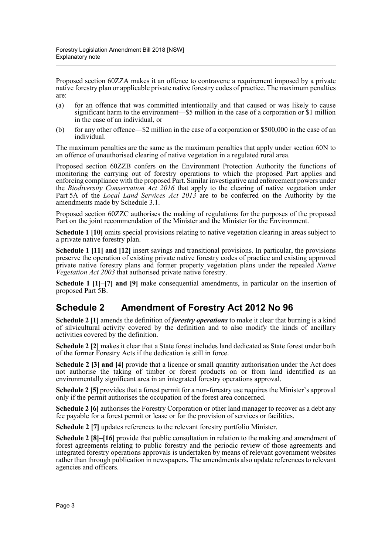Proposed section 60ZZA makes it an offence to contravene a requirement imposed by a private native forestry plan or applicable private native forestry codes of practice. The maximum penalties are:

- (a) for an offence that was committed intentionally and that caused or was likely to cause significant harm to the environment—\$5 million in the case of a corporation or \$1 million in the case of an individual, or
- (b) for any other offence—\$2 million in the case of a corporation or \$500,000 in the case of an individual.

The maximum penalties are the same as the maximum penalties that apply under section 60N to an offence of unauthorised clearing of native vegetation in a regulated rural area.

Proposed section 60ZZB confers on the Environment Protection Authority the functions of monitoring the carrying out of forestry operations to which the proposed Part applies and enforcing compliance with the proposed Part. Similar investigative and enforcement powers under the *Biodiversity Conservation Act 2016* that apply to the clearing of native vegetation under Part 5A of the *Local Land Services Act 2013* are to be conferred on the Authority by the amendments made by Schedule 3.1.

Proposed section 60ZZC authorises the making of regulations for the purposes of the proposed Part on the joint recommendation of the Minister and the Minister for the Environment.

**Schedule 1 [10]** omits special provisions relating to native vegetation clearing in areas subject to a private native forestry plan.

**Schedule 1 [11] and [12]** insert savings and transitional provisions. In particular, the provisions preserve the operation of existing private native forestry codes of practice and existing approved private native forestry plans and former property vegetation plans under the repealed *Native Vegetation Act 2003* that authorised private native forestry.

**Schedule 1 [1]–[7] and [9]** make consequential amendments, in particular on the insertion of proposed Part 5B.

## **Schedule 2 Amendment of Forestry Act 2012 No 96**

**Schedule 2 [1]** amends the definition of *forestry operations* to make it clear that burning is a kind of silvicultural activity covered by the definition and to also modify the kinds of ancillary activities covered by the definition.

**Schedule 2 [2]** makes it clear that a State forest includes land dedicated as State forest under both of the former Forestry Acts if the dedication is still in force.

**Schedule 2 [3] and [4]** provide that a licence or small quantity authorisation under the Act does not authorise the taking of timber or forest products on or from land identified as an environmentally significant area in an integrated forestry operations approval.

**Schedule 2 [5]** provides that a forest permit for a non-forestry use requires the Minister's approval only if the permit authorises the occupation of the forest area concerned.

**Schedule 2 [6]** authorises the Forestry Corporation or other land manager to recover as a debt any fee payable for a forest permit or lease or for the provision of services or facilities.

**Schedule 2 [7]** updates references to the relevant forestry portfolio Minister.

**Schedule 2 [8]–[16]** provide that public consultation in relation to the making and amendment of forest agreements relating to public forestry and the periodic review of those agreements and integrated forestry operations approvals is undertaken by means of relevant government websites rather than through publication in newspapers. The amendments also update references to relevant agencies and officers.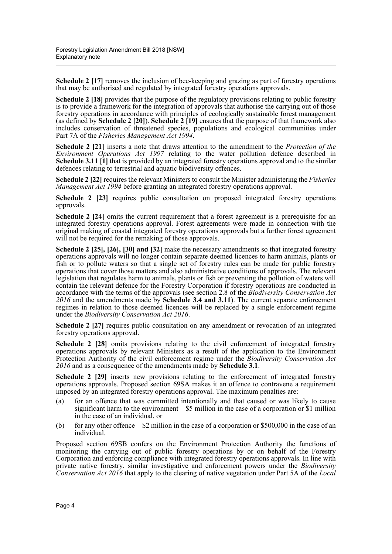**Schedule 2 [17]** removes the inclusion of bee-keeping and grazing as part of forestry operations that may be authorised and regulated by integrated forestry operations approvals.

**Schedule 2 [18]** provides that the purpose of the regulatory provisions relating to public forestry is to provide a framework for the integration of approvals that authorise the carrying out of those forestry operations in accordance with principles of ecologically sustainable forest management (as defined by **Schedule 2 [20]**). **Schedule 2 [19]** ensures that the purpose of that framework also includes conservation of threatened species, populations and ecological communities under Part 7A of the *Fisheries Management Act 1994*.

**Schedule 2 [21]** inserts a note that draws attention to the amendment to the *Protection of the Environment Operations Act 1997* relating to the water pollution defence described in **Schedule 3.11 [1]** that is provided by an integrated forestry operations approval and to the similar defences relating to terrestrial and aquatic biodiversity offences.

**Schedule 2 [22]** requires the relevant Ministers to consult the Minister administering the *Fisheries Management Act 1994* before granting an integrated forestry operations approval.

**Schedule 2 [23]** requires public consultation on proposed integrated forestry operations approvals.

**Schedule 2 [24]** omits the current requirement that a forest agreement is a prerequisite for an integrated forestry operations approval. Forest agreements were made in connection with the original making of coastal integrated forestry operations approvals but a further forest agreement will not be required for the remaking of those approvals.

**Schedule 2 [25], [26], [30] and [32]** make the necessary amendments so that integrated forestry operations approvals will no longer contain separate deemed licences to harm animals, plants or fish or to pollute waters so that a single set of forestry rules can be made for public forestry operations that cover those matters and also administrative conditions of approvals. The relevant legislation that regulates harm to animals, plants or fish or preventing the pollution of waters will contain the relevant defence for the Forestry Corporation if forestry operations are conducted in accordance with the terms of the approvals (see section 2.8 of the *Biodiversity Conservation Act 2016* and the amendments made by **Schedule 3.4 and 3.11**). The current separate enforcement regimes in relation to those deemed licences will be replaced by a single enforcement regime under the *Biodiversity Conservation Act 2016*.

**Schedule 2 [27]** requires public consultation on any amendment or revocation of an integrated forestry operations approval.

**Schedule 2 [28]** omits provisions relating to the civil enforcement of integrated forestry operations approvals by relevant Ministers as a result of the application to the Environment Protection Authority of the civil enforcement regime under the *Biodiversity Conservation Act 2016* and as a consequence of the amendments made by **Schedule 3.1**.

**Schedule 2 [29]** inserts new provisions relating to the enforcement of integrated forestry operations approvals. Proposed section 69SA makes it an offence to contravene a requirement imposed by an integrated forestry operations approval. The maximum penalties are:

- (a) for an offence that was committed intentionally and that caused or was likely to cause significant harm to the environment—\$5 million in the case of a corporation or \$1 million in the case of an individual, or
- (b) for any other offence—\$2 million in the case of a corporation or \$500,000 in the case of an individual.

Proposed section 69SB confers on the Environment Protection Authority the functions of monitoring the carrying out of public forestry operations by or on behalf of the Forestry Corporation and enforcing compliance with integrated forestry operations approvals. In line with private native forestry, similar investigative and enforcement powers under the *Biodiversity Conservation Act 2016* that apply to the clearing of native vegetation under Part 5A of the *Local*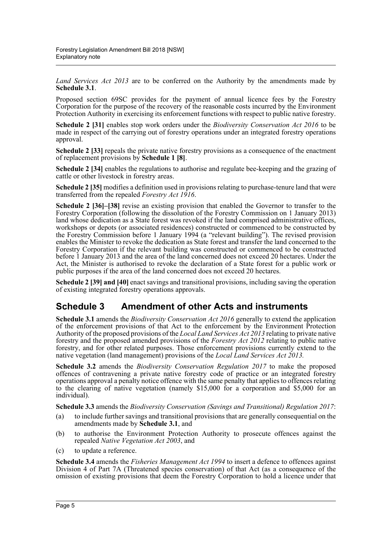*Land Services Act 2013* are to be conferred on the Authority by the amendments made by **Schedule 3.1**.

Proposed section 69SC provides for the payment of annual licence fees by the Forestry Corporation for the purpose of the recovery of the reasonable costs incurred by the Environment Protection Authority in exercising its enforcement functions with respect to public native forestry.

**Schedule 2 [31]** enables stop work orders under the *Biodiversity Conservation Act 2016* to be made in respect of the carrying out of forestry operations under an integrated forestry operations approval.

**Schedule 2 [33]** repeals the private native forestry provisions as a consequence of the enactment of replacement provisions by **Schedule 1 [8]**.

**Schedule 2 [34]** enables the regulations to authorise and regulate bee-keeping and the grazing of cattle or other livestock in forestry areas.

**Schedule 2 [35]** modifies a definition used in provisions relating to purchase-tenure land that were transferred from the repealed *Forestry Act 1916*.

**Schedule 2 [36]–[38]** revise an existing provision that enabled the Governor to transfer to the Forestry Corporation (following the dissolution of the Forestry Commission on 1 January 2013) land whose dedication as a State forest was revoked if the land comprised administrative offices, workshops or depots (or associated residences) constructed or commenced to be constructed by the Forestry Commission before 1 January 1994 (a "relevant building"). The revised provision enables the Minister to revoke the dedication as State forest and transfer the land concerned to the Forestry Corporation if the relevant building was constructed or commenced to be constructed before 1 January 2013 and the area of the land concerned does not exceed 20 hectares. Under the Act, the Minister is authorised to revoke the declaration of a State forest for a public work or public purposes if the area of the land concerned does not exceed 20 hectares.

**Schedule 2 [39] and [40]** enact savings and transitional provisions, including saving the operation of existing integrated forestry operations approvals.

## **Schedule 3 Amendment of other Acts and instruments**

**Schedule 3.1** amends the *Biodiversity Conservation Act 2016* generally to extend the application of the enforcement provisions of that Act to the enforcement by the Environment Protection Authority of the proposed provisions of the *Local Land Services Act 2013* relating to private native forestry and the proposed amended provisions of the *Forestry Act 2012* relating to public native forestry, and for other related purposes. Those enforcement provisions currently extend to the native vegetation (land management) provisions of the *Local Land Services Act 2013.*

**Schedule 3.2** amends the *Biodiversity Conservation Regulation 2017* to make the proposed offences of contravening a private native forestry code of practice or an integrated forestry operations approval a penalty notice offence with the same penalty that applies to offences relating to the clearing of native vegetation (namely \$15,000 for a corporation and \$5,000 for an individual).

**Schedule 3.3** amends the *Biodiversity Conservation (Savings and Transitional) Regulation 2017*:

- (a) to include further savings and transitional provisions that are generally consequential on the amendments made by **Schedule 3.1**, and
- (b) to authorise the Environment Protection Authority to prosecute offences against the repealed *Native Vegetation Act 2003*, and
- (c) to update a reference.

**Schedule 3.4** amends the *Fisheries Management Act 1994* to insert a defence to offences against Division 4 of Part 7A (Threatened species conservation) of that Act (as a consequence of the omission of existing provisions that deem the Forestry Corporation to hold a licence under that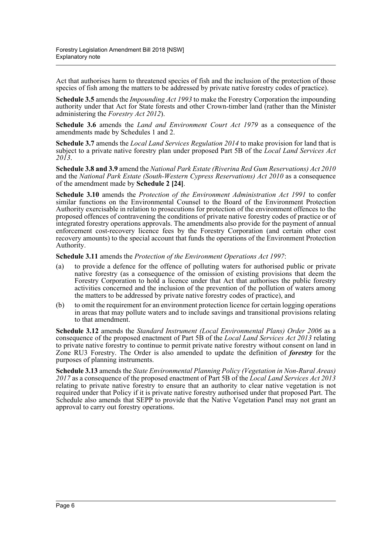Act that authorises harm to threatened species of fish and the inclusion of the protection of those species of fish among the matters to be addressed by private native forestry codes of practice).

**Schedule 3.5** amends the *Impounding Act 1993* to make the Forestry Corporation the impounding authority under that Act for State forests and other Crown-timber land (rather than the Minister administering the *Forestry Act 2012*).

**Schedule 3.6** amends the *Land and Environment Court Act 1979* as a consequence of the amendments made by Schedules 1 and 2.

**Schedule 3.7** amends the *Local Land Services Regulation 2014* to make provision for land that is subject to a private native forestry plan under proposed Part 5B of the *Local Land Services Act 2013*.

**Schedule 3.8 and 3.9** amend the *National Park Estate (Riverina Red Gum Reservations) Act 2010* and the *National Park Estate (South-Western Cypress Reservations) Act 2010* as a consequence of the amendment made by **Schedule 2 [24]**.

**Schedule 3.10** amends the *Protection of the Environment Administration Act 1991* to confer similar functions on the Environmental Counsel to the Board of the Environment Protection Authority exercisable in relation to prosecutions for protection of the environment offences to the proposed offences of contravening the conditions of private native forestry codes of practice or of integrated forestry operations approvals. The amendments also provide for the payment of annual enforcement cost-recovery licence fees by the Forestry Corporation (and certain other cost recovery amounts) to the special account that funds the operations of the Environment Protection Authority.

**Schedule 3.11** amends the *Protection of the Environment Operations Act 1997*:

- (a) to provide a defence for the offence of polluting waters for authorised public or private native forestry (as a consequence of the omission of existing provisions that deem the Forestry Corporation to hold a licence under that Act that authorises the public forestry activities concerned and the inclusion of the prevention of the pollution of waters among the matters to be addressed by private native forestry codes of practice), and
- (b) to omit the requirement for an environment protection licence for certain logging operations in areas that may pollute waters and to include savings and transitional provisions relating to that amendment.

**Schedule 3.12** amends the *Standard Instrument (Local Environmental Plans) Order 2006* as a consequence of the proposed enactment of Part 5B of the *Local Land Services Act 2013* relating to private native forestry to continue to permit private native forestry without consent on land in Zone RU3 Forestry. The Order is also amended to update the definition of *forestry* for the purposes of planning instruments.

**Schedule 3.13** amends the *State Environmental Planning Policy (Vegetation in Non-Rural Areas) 2017* as a consequence of the proposed enactment of Part 5B of the *Local Land Services Act 2013* relating to private native forestry to ensure that an authority to clear native vegetation is not required under that Policy if it is private native forestry authorised under that proposed Part. The Schedule also amends that SEPP to provide that the Native Vegetation Panel may not grant an approval to carry out forestry operations.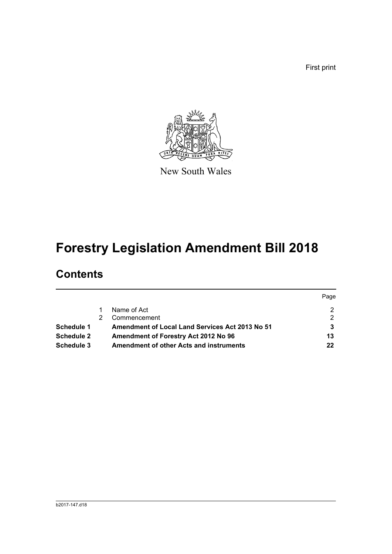First print



New South Wales

# **Forestry Legislation Amendment Bill 2018**

## **Contents**

|            |                                                        | Page |
|------------|--------------------------------------------------------|------|
|            | Name of Act                                            |      |
|            | Commencement                                           | 2    |
| Schedule 1 | <b>Amendment of Local Land Services Act 2013 No 51</b> |      |
| Schedule 2 | Amendment of Forestry Act 2012 No 96                   | 13   |
| Schedule 3 | <b>Amendment of other Acts and instruments</b>         | 22   |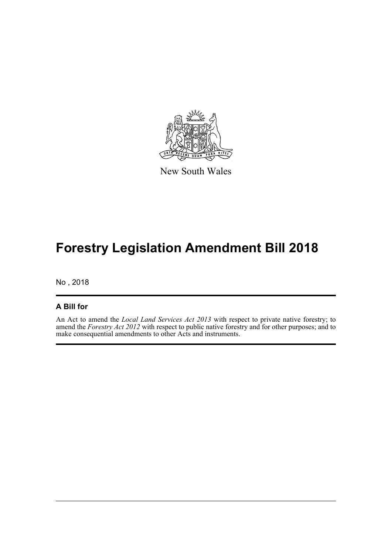

New South Wales

# **Forestry Legislation Amendment Bill 2018**

No , 2018

#### **A Bill for**

An Act to amend the *Local Land Services Act 2013* with respect to private native forestry; to amend the *Forestry Act 2012* with respect to public native forestry and for other purposes; and to make consequential amendments to other Acts and instruments.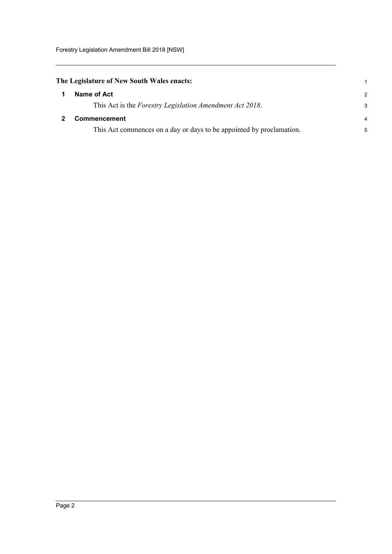<span id="page-8-1"></span><span id="page-8-0"></span>

| The Legislature of New South Wales enacts:                           |               |
|----------------------------------------------------------------------|---------------|
| Name of Act                                                          | $\mathcal{P}$ |
| This Act is the Forestry Legislation Amendment Act 2018.             | 3             |
| <b>Commencement</b>                                                  | 4             |
| This Act commences on a day or days to be appointed by proclamation. | 5             |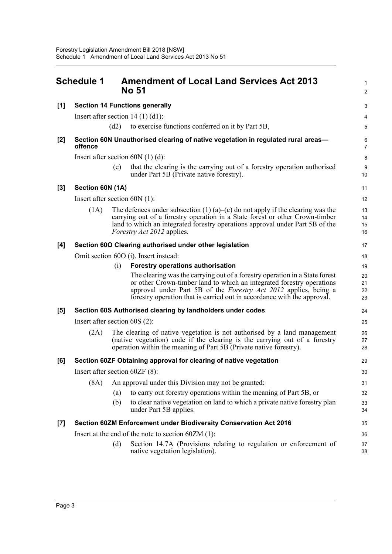<span id="page-9-0"></span>

|       | <b>Schedule 1</b>                |      | <b>Amendment of Local Land Services Act 2013</b><br>No 51                                                                                                                                                                                                                                           | 1<br>$\overline{2}$  |
|-------|----------------------------------|------|-----------------------------------------------------------------------------------------------------------------------------------------------------------------------------------------------------------------------------------------------------------------------------------------------------|----------------------|
| [1]   |                                  |      | <b>Section 14 Functions generally</b>                                                                                                                                                                                                                                                               | 3                    |
|       |                                  |      | Insert after section $14(1)(d1)$ :                                                                                                                                                                                                                                                                  | 4                    |
|       |                                  | (d2) | to exercise functions conferred on it by Part 5B,                                                                                                                                                                                                                                                   | 5                    |
| [2]   | offence                          |      | Section 60N Unauthorised clearing of native vegetation in regulated rural areas-                                                                                                                                                                                                                    | 6<br>$\overline{7}$  |
|       |                                  |      | Insert after section $60N(1)(d)$ :                                                                                                                                                                                                                                                                  | 8                    |
|       |                                  | (e)  | that the clearing is the carrying out of a forestry operation authorised<br>under Part 5B (Private native forestry).                                                                                                                                                                                | 9<br>10              |
| $[3]$ | Section 60N (1A)                 |      |                                                                                                                                                                                                                                                                                                     | 11                   |
|       | Insert after section $60N(1)$ :  |      |                                                                                                                                                                                                                                                                                                     | 12                   |
|       | (1A)                             |      | The defences under subsection $(1)$ $(a)$ $-(c)$ do not apply if the clearing was the<br>carrying out of a forestry operation in a State forest or other Crown-timber<br>land to which an integrated forestry operations approval under Part 5B of the<br><i>Forestry Act 2012</i> applies.         | 13<br>14<br>15<br>16 |
| [4]   |                                  |      | Section 60O Clearing authorised under other legislation                                                                                                                                                                                                                                             | 17                   |
|       |                                  |      | Omit section 60O (i). Insert instead:                                                                                                                                                                                                                                                               | 18                   |
|       |                                  | (i)  | <b>Forestry operations authorisation</b>                                                                                                                                                                                                                                                            | 19                   |
|       |                                  |      | The clearing was the carrying out of a forestry operation in a State forest<br>or other Crown-timber land to which an integrated forestry operations<br>approval under Part 5B of the Forestry Act 2012 applies, being a<br>forestry operation that is carried out in accordance with the approval. | 20<br>21<br>22<br>23 |
| [5]   |                                  |      | Section 60S Authorised clearing by landholders under codes                                                                                                                                                                                                                                          | 24                   |
|       | Insert after section $60S(2)$ :  |      |                                                                                                                                                                                                                                                                                                     | 25                   |
|       | (2A)                             |      | The clearing of native vegetation is not authorised by a land management<br>(native vegetation) code if the clearing is the carrying out of a forestry<br>operation within the meaning of Part 5B (Private native forestry).                                                                        | 26<br>27<br>28       |
| [6]   |                                  |      | Section 60ZF Obtaining approval for clearing of native vegetation                                                                                                                                                                                                                                   | 29                   |
|       | Insert after section $60ZF(8)$ : |      |                                                                                                                                                                                                                                                                                                     | 30                   |
|       | (8A)                             |      | An approval under this Division may not be granted:                                                                                                                                                                                                                                                 | 31                   |
|       |                                  | (a)  | to carry out forestry operations within the meaning of Part 5B, or                                                                                                                                                                                                                                  | 32                   |
|       |                                  | (b)  | to clear native vegetation on land to which a private native forestry plan<br>under Part 5B applies.                                                                                                                                                                                                | 33<br>34             |
| $[7]$ |                                  |      | Section 60ZM Enforcement under Biodiversity Conservation Act 2016                                                                                                                                                                                                                                   | 35                   |
|       |                                  |      | Insert at the end of the note to section $60ZM(1)$ :                                                                                                                                                                                                                                                | 36                   |
|       |                                  | (d)  | Section 14.7A (Provisions relating to regulation or enforcement of<br>native vegetation legislation).                                                                                                                                                                                               | 37<br>38             |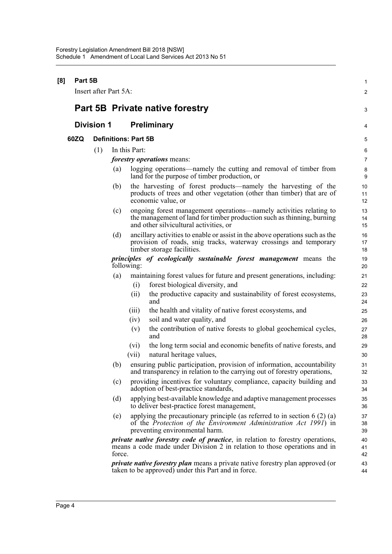| [8] | Part 5B |                   | Insert after Part 5A:       |       |                                                                                                                                                                                        | $\mathbf{1}$<br>2         |
|-----|---------|-------------------|-----------------------------|-------|----------------------------------------------------------------------------------------------------------------------------------------------------------------------------------------|---------------------------|
|     |         |                   |                             |       | <b>Part 5B Private native forestry</b>                                                                                                                                                 | 3                         |
|     |         | <b>Division 1</b> |                             |       | <b>Preliminary</b>                                                                                                                                                                     | 4                         |
|     | 60ZQ    |                   | <b>Definitions: Part 5B</b> |       |                                                                                                                                                                                        | 5                         |
|     |         | (1)               | In this Part:               |       |                                                                                                                                                                                        |                           |
|     |         |                   |                             |       | <i>forestry operations</i> means:                                                                                                                                                      | $\,6\,$<br>$\overline{7}$ |
|     |         |                   | (a)                         |       | logging operations—namely the cutting and removal of timber from<br>land for the purpose of timber production, or                                                                      | 8<br>$\boldsymbol{9}$     |
|     |         |                   | (b)                         |       | the harvesting of forest products—namely the harvesting of the<br>products of trees and other vegetation (other than timber) that are of<br>economic value, or                         | 10<br>11<br>12            |
|     |         |                   | (c)                         |       | ongoing forest management operations—namely activities relating to<br>the management of land for timber production such as thinning, burning<br>and other silvicultural activities, or | 13<br>14<br>15            |
|     |         |                   | (d)                         |       | ancillary activities to enable or assist in the above operations such as the<br>provision of roads, snig tracks, waterway crossings and temporary<br>timber storage facilities.        | 16<br>17<br>18            |
|     |         |                   | following:                  |       | principles of ecologically sustainable forest management means the                                                                                                                     | 19<br>20                  |
|     |         |                   | (a)                         |       | maintaining forest values for future and present generations, including:                                                                                                               | 21                        |
|     |         |                   |                             | (i)   | forest biological diversity, and                                                                                                                                                       | 22                        |
|     |         |                   |                             | (ii)  | the productive capacity and sustainability of forest ecosystems,<br>and                                                                                                                | 23<br>24                  |
|     |         |                   |                             | (iii) | the health and vitality of native forest ecosystems, and                                                                                                                               | 25                        |
|     |         |                   |                             | (iv)  | soil and water quality, and                                                                                                                                                            | 26                        |
|     |         |                   |                             | (v)   | the contribution of native forests to global geochemical cycles,<br>and                                                                                                                | 27<br>28                  |
|     |         |                   |                             | (vi)  | the long term social and economic benefits of native forests, and                                                                                                                      | 29                        |
|     |         |                   |                             | (vii) | natural heritage values,                                                                                                                                                               | 30                        |
|     |         |                   | (b)                         |       | ensuring public participation, provision of information, accountability<br>and transparency in relation to the carrying out of forestry operations,                                    | 31<br>32                  |
|     |         |                   | (c)                         |       | providing incentives for voluntary compliance, capacity building and<br>adoption of best-practice standards,                                                                           | 33<br>34                  |
|     |         |                   | (d)                         |       | applying best-available knowledge and adaptive management processes<br>to deliver best-practice forest management,                                                                     | 35<br>36                  |
|     |         |                   | (e)                         |       | applying the precautionary principle (as referred to in section $6(2)(a)$ )<br>of the Protection of the Environment Administration Act 1991) in<br>preventing environmental harm.      | 37<br>38<br>39            |
|     |         |                   | force.                      |       | <i>private native forestry code of practice</i> , in relation to forestry operations,<br>means a code made under Division 2 in relation to those operations and in                     | 40<br>41<br>42            |
|     |         |                   |                             |       | <i>private native forestry plan</i> means a private native forestry plan approved (or<br>taken to be approved) under this Part and in force.                                           | 43<br>44                  |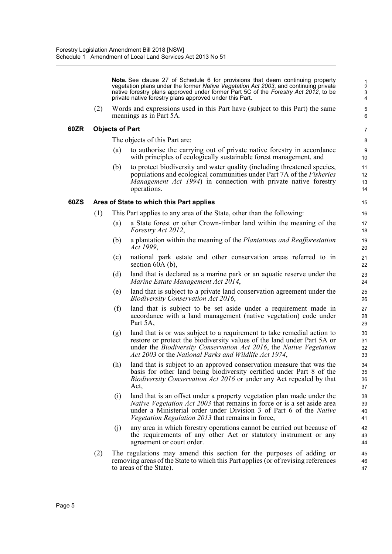**Note.** See clause 27 of Schedule 6 for provisions that deem continuing property vegetation plans under the former *Native Vegetation Act 2003*, and continuing private native forestry plans approved under former Part 5C of the *Forestry Act 2012*, to be private native forestry plans approved under this Part.

(2) Words and expressions used in this Part have (subject to this Part) the same meanings as in Part 5A.

#### **60ZR Objects of Part**

The objects of this Part are:

- (a) to authorise the carrying out of private native forestry in accordance with principles of ecologically sustainable forest management, and
- (b) to protect biodiversity and water quality (including threatened species, populations and ecological communities under Part 7A of the *Fisheries Management Act 1994*) in connection with private native forestry operations.

#### **60ZS Area of State to which this Part applies**

- (1) This Part applies to any area of the State, other than the following:
	- (a) a State forest or other Crown-timber land within the meaning of the *Forestry Act 2012*,
	- (b) a plantation within the meaning of the *Plantations and Reafforestation Act 1999*,
	- (c) national park estate and other conservation areas referred to in section 60A (b),
	- (d) land that is declared as a marine park or an aquatic reserve under the *Marine Estate Management Act 2014*,
	- (e) land that is subject to a private land conservation agreement under the *Biodiversity Conservation Act 2016*,
	- (f) land that is subject to be set aside under a requirement made in accordance with a land management (native vegetation) code under Part 5A,
	- (g) land that is or was subject to a requirement to take remedial action to restore or protect the biodiversity values of the land under Part 5A or under the *Biodiversity Conservation Act 2016*, the *Native Vegetation Act 2003* or the *National Parks and Wildlife Act 1974*,
	- (h) land that is subject to an approved conservation measure that was the basis for other land being biodiversity certified under Part 8 of the *Biodiversity Conservation Act 2016* or under any Act repealed by that Act,
	- (i) land that is an offset under a property vegetation plan made under the *Native Vegetation Act 2003* that remains in force or is a set aside area under a Ministerial order under Division 3 of Part 6 of the *Native Vegetation Regulation 2013* that remains in force,
	- (j) any area in which forestry operations cannot be carried out because of the requirements of any other Act or statutory instrument or any agreement or court order.
- (2) The regulations may amend this section for the purposes of adding or removing areas of the State to which this Part applies (or of revising references to areas of the State).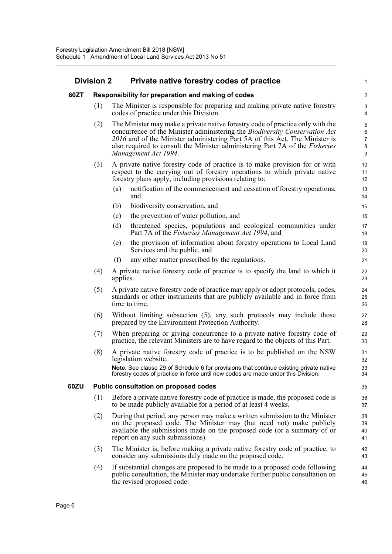#### **Division 2 Private native forestry codes of practice**

#### **60ZT Responsibility for preparation and making of codes**

(1) The Minister is responsible for preparing and making private native forestry codes of practice under this Division.

1

- (2) The Minister may make a private native forestry code of practice only with the concurrence of the Minister administering the *Biodiversity Conservation Act 2016* and of the Minister administering Part 5A of this Act. The Minister is also required to consult the Minister administering Part 7A of the *Fisheries Management Act 1994*.
- (3) A private native forestry code of practice is to make provision for or with respect to the carrying out of forestry operations to which private native forestry plans apply, including provisions relating to:
	- (a) notification of the commencement and cessation of forestry operations, and
	- (b) biodiversity conservation, and
	- (c) the prevention of water pollution, and
	- (d) threatened species, populations and ecological communities under Part 7A of the *Fisheries Management Act 1994*, and
	- (e) the provision of information about forestry operations to Local Land Services and the public, and
	- (f) any other matter prescribed by the regulations.
- (4) A private native forestry code of practice is to specify the land to which it applies.
- (5) A private native forestry code of practice may apply or adopt protocols, codes, standards or other instruments that are publicly available and in force from time to time.
- (6) Without limiting subsection (5), any such protocols may include those prepared by the Environment Protection Authority.
- (7) When preparing or giving concurrence to a private native forestry code of practice, the relevant Ministers are to have regard to the objects of this Part.
- (8) A private native forestry code of practice is to be published on the NSW legislation website.

**Note.** See clause 29 of Schedule 6 for provisions that continue existing private native forestry codes of practice in force until new codes are made under this Division.

#### **60ZU Public consultation on proposed codes**

- (1) Before a private native forestry code of practice is made, the proposed code is to be made publicly available for a period of at least 4 weeks.
- (2) During that period, any person may make a written submission to the Minister on the proposed code. The Minister may (but need not) make publicly available the submissions made on the proposed code (or a summary of or report on any such submissions).
- (3) The Minister is, before making a private native forestry code of practice, to consider any submissions duly made on the proposed code.
- (4) If substantial changes are proposed to be made to a proposed code following public consultation, the Minister may undertake further public consultation on the revised proposed code.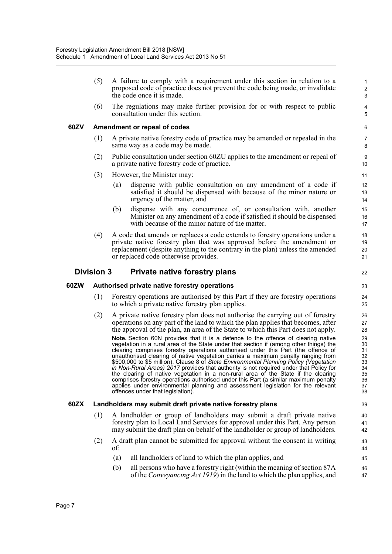(5) A failure to comply with a requirement under this section in relation to a proposed code of practice does not prevent the code being made, or invalidate the code once it is made.

 $22$ 

(6) The regulations may make further provision for or with respect to public consultation under this section.

#### **60ZV Amendment or repeal of codes**

- (1) A private native forestry code of practice may be amended or repealed in the same way as a code may be made.
- (2) Public consultation under section 60ZU applies to the amendment or repeal of a private native forestry code of practice.
- (3) However, the Minister may:
	- (a) dispense with public consultation on any amendment of a code if satisfied it should be dispensed with because of the minor nature or urgency of the matter, and
	- (b) dispense with any concurrence of, or consultation with, another Minister on any amendment of a code if satisfied it should be dispensed with because of the minor nature of the matter.
- (4) A code that amends or replaces a code extends to forestry operations under a private native forestry plan that was approved before the amendment or replacement (despite anything to the contrary in the plan) unless the amended or replaced code otherwise provides.

#### **Division 3 Private native forestry plans**

#### **60ZW Authorised private native forestry operations**

- (1) Forestry operations are authorised by this Part if they are forestry operations to which a private native forestry plan applies.
- (2) A private native forestry plan does not authorise the carrying out of forestry operations on any part of the land to which the plan applies that becomes, after the approval of the plan, an area of the State to which this Part does not apply.

**Note.** Section 60N provides that it is a defence to the offence of clearing native vegetation in a rural area of the State under that section if (among other things) the clearing comprises forestry operations authorised under this Part (the offence of unauthorised clearing of native vegetation carries a maximum penalty ranging from \$500,000 to \$5 million). Clause 8 of *State Environmental Planning Policy (Vegetation in Non-Rural Areas) 2017* provides that authority is not required under that Policy for the clearing of native vegetation in a non-rural area of the State if the clearing comprises forestry operations authorised under this Part (a similar maximum penalty applies under environmental planning and assessment legislation for the relevant offences under that legislation).

#### **60ZX Landholders may submit draft private native forestry plans**

- (1) A landholder or group of landholders may submit a draft private native forestry plan to Local Land Services for approval under this Part. Any person may submit the draft plan on behalf of the landholder or group of landholders.
- (2) A draft plan cannot be submitted for approval without the consent in writing of:
	- (a) all landholders of land to which the plan applies, and
	- (b) all persons who have a forestry right (within the meaning of section 87A of the *Conveyancing Act 1919*) in the land to which the plan applies, and 46 47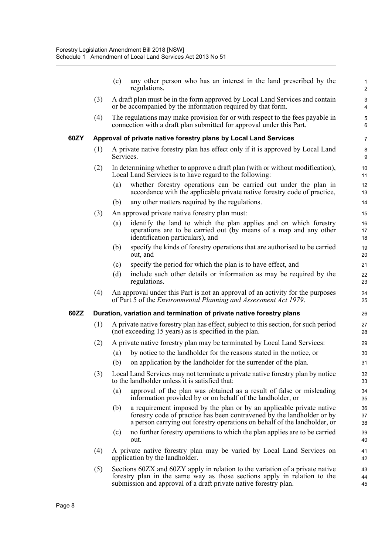|      |     | (c)       | any other person who has an interest in the land prescribed by the<br>regulations.                                                                                                                                            | $\mathbf{1}$<br>$\overline{2}$ |
|------|-----|-----------|-------------------------------------------------------------------------------------------------------------------------------------------------------------------------------------------------------------------------------|--------------------------------|
|      | (3) |           | A draft plan must be in the form approved by Local Land Services and contain<br>or be accompanied by the information required by that form.                                                                                   | 3<br>4                         |
|      | (4) |           | The regulations may make provision for or with respect to the fees payable in<br>connection with a draft plan submitted for approval under this Part.                                                                         | 5<br>6                         |
| 60ZY |     |           | Approval of private native forestry plans by Local Land Services                                                                                                                                                              | $\overline{7}$                 |
|      | (1) | Services. | A private native forestry plan has effect only if it is approved by Local Land                                                                                                                                                | 8<br>9                         |
|      | (2) |           | In determining whether to approve a draft plan (with or without modification),<br>Local Land Services is to have regard to the following:                                                                                     | 10<br>11                       |
|      |     | (a)       | whether forestry operations can be carried out under the plan in<br>accordance with the applicable private native forestry code of practice,                                                                                  | 12<br>13                       |
|      |     | (b)       | any other matters required by the regulations.                                                                                                                                                                                | 14                             |
|      | (3) |           | An approved private native forestry plan must:                                                                                                                                                                                | 15                             |
|      |     | (a)       | identify the land to which the plan applies and on which forestry<br>operations are to be carried out (by means of a map and any other<br>identification particulars), and                                                    | 16<br>17<br>18                 |
|      |     | (b)       | specify the kinds of forestry operations that are authorised to be carried<br>out, and                                                                                                                                        | 19<br>20                       |
|      |     | (c)       | specify the period for which the plan is to have effect, and                                                                                                                                                                  | 21                             |
|      |     | (d)       | include such other details or information as may be required by the<br>regulations.                                                                                                                                           | 22<br>23                       |
|      | (4) |           | An approval under this Part is not an approval of an activity for the purposes<br>of Part 5 of the <i>Environmental Planning and Assessment Act 1979</i> .                                                                    | 24<br>25                       |
| 60ZZ |     |           | Duration, variation and termination of private native forestry plans                                                                                                                                                          | 26                             |
|      | (1) |           | A private native forestry plan has effect, subject to this section, for such period<br>(not exceeding 15 years) as is specified in the plan.                                                                                  | 27<br>28                       |
|      | (2) |           | A private native forestry plan may be terminated by Local Land Services:                                                                                                                                                      | 29                             |
|      |     | (a)       | by notice to the landholder for the reasons stated in the notice, or                                                                                                                                                          | 30                             |
|      |     | (b)       | on application by the landholder for the surrender of the plan.                                                                                                                                                               | 31                             |
|      | (3) |           | Local Land Services may not terminate a private native forestry plan by notice<br>to the landholder unless it is satisfied that:                                                                                              | 32<br>33                       |
|      |     | (a)       | approval of the plan was obtained as a result of false or misleading<br>information provided by or on behalf of the landholder, or                                                                                            | 34<br>35                       |
|      |     | (b)       | a requirement imposed by the plan or by an applicable private native<br>forestry code of practice has been contravened by the landholder or by<br>a person carrying out forestry operations on behalf of the landholder, or   | 36<br>37<br>38                 |
|      |     | (c)       | no further forestry operations to which the plan applies are to be carried<br>out.                                                                                                                                            | 39<br>40                       |
|      | (4) |           | A private native forestry plan may be varied by Local Land Services on<br>application by the landholder.                                                                                                                      | 41<br>42                       |
|      | (5) |           | Sections 60ZX and 60ZY apply in relation to the variation of a private native<br>forestry plan in the same way as those sections apply in relation to the<br>submission and approval of a draft private native forestry plan. | 43<br>44<br>45                 |
|      |     |           |                                                                                                                                                                                                                               |                                |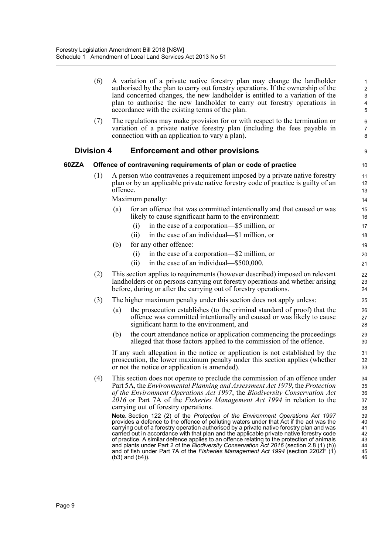| (6)<br>A variation of a private native forestry plan may change the landholder<br>authorised by the plan to carry out forestry operations. If the ownership of the<br>land concerned changes, the new landholder is entitled to a variation of the<br>plan to authorise the new landholder to carry out forestry operations in<br>accordance with the existing terms of the plan. |                                                                                                                                                                                               |                                                                                                                                                                                                                                                                                                                                                                                                                                                                                                                                                                                                                                                                                                                                                                                                                                                                                                                                                                                                                                                                                                                                                                                                                                                                                                                                                                                                                                                                                                                                                                                                                                                                                                                                                                                                                                                                                                                                                                                                                                                                                                                                                                      |  |  |  |  |  |
|-----------------------------------------------------------------------------------------------------------------------------------------------------------------------------------------------------------------------------------------------------------------------------------------------------------------------------------------------------------------------------------|-----------------------------------------------------------------------------------------------------------------------------------------------------------------------------------------------|----------------------------------------------------------------------------------------------------------------------------------------------------------------------------------------------------------------------------------------------------------------------------------------------------------------------------------------------------------------------------------------------------------------------------------------------------------------------------------------------------------------------------------------------------------------------------------------------------------------------------------------------------------------------------------------------------------------------------------------------------------------------------------------------------------------------------------------------------------------------------------------------------------------------------------------------------------------------------------------------------------------------------------------------------------------------------------------------------------------------------------------------------------------------------------------------------------------------------------------------------------------------------------------------------------------------------------------------------------------------------------------------------------------------------------------------------------------------------------------------------------------------------------------------------------------------------------------------------------------------------------------------------------------------------------------------------------------------------------------------------------------------------------------------------------------------------------------------------------------------------------------------------------------------------------------------------------------------------------------------------------------------------------------------------------------------------------------------------------------------------------------------------------------------|--|--|--|--|--|
|                                                                                                                                                                                                                                                                                                                                                                                   |                                                                                                                                                                                               | $\epsilon$<br>7<br>ε                                                                                                                                                                                                                                                                                                                                                                                                                                                                                                                                                                                                                                                                                                                                                                                                                                                                                                                                                                                                                                                                                                                                                                                                                                                                                                                                                                                                                                                                                                                                                                                                                                                                                                                                                                                                                                                                                                                                                                                                                                                                                                                                                 |  |  |  |  |  |
|                                                                                                                                                                                                                                                                                                                                                                                   | <b>Enforcement and other provisions</b>                                                                                                                                                       | ς                                                                                                                                                                                                                                                                                                                                                                                                                                                                                                                                                                                                                                                                                                                                                                                                                                                                                                                                                                                                                                                                                                                                                                                                                                                                                                                                                                                                                                                                                                                                                                                                                                                                                                                                                                                                                                                                                                                                                                                                                                                                                                                                                                    |  |  |  |  |  |
|                                                                                                                                                                                                                                                                                                                                                                                   |                                                                                                                                                                                               | 1 <sup>C</sup>                                                                                                                                                                                                                                                                                                                                                                                                                                                                                                                                                                                                                                                                                                                                                                                                                                                                                                                                                                                                                                                                                                                                                                                                                                                                                                                                                                                                                                                                                                                                                                                                                                                                                                                                                                                                                                                                                                                                                                                                                                                                                                                                                       |  |  |  |  |  |
|                                                                                                                                                                                                                                                                                                                                                                                   |                                                                                                                                                                                               | 11<br>12<br>13                                                                                                                                                                                                                                                                                                                                                                                                                                                                                                                                                                                                                                                                                                                                                                                                                                                                                                                                                                                                                                                                                                                                                                                                                                                                                                                                                                                                                                                                                                                                                                                                                                                                                                                                                                                                                                                                                                                                                                                                                                                                                                                                                       |  |  |  |  |  |
| (a)                                                                                                                                                                                                                                                                                                                                                                               | for an offence that was committed intentionally and that caused or was<br>likely to cause significant harm to the environment:<br>in the case of a corporation—\$5 million, or<br>(i)         | 14<br>15<br>16<br>17<br>18                                                                                                                                                                                                                                                                                                                                                                                                                                                                                                                                                                                                                                                                                                                                                                                                                                                                                                                                                                                                                                                                                                                                                                                                                                                                                                                                                                                                                                                                                                                                                                                                                                                                                                                                                                                                                                                                                                                                                                                                                                                                                                                                           |  |  |  |  |  |
|                                                                                                                                                                                                                                                                                                                                                                                   |                                                                                                                                                                                               | 19                                                                                                                                                                                                                                                                                                                                                                                                                                                                                                                                                                                                                                                                                                                                                                                                                                                                                                                                                                                                                                                                                                                                                                                                                                                                                                                                                                                                                                                                                                                                                                                                                                                                                                                                                                                                                                                                                                                                                                                                                                                                                                                                                                   |  |  |  |  |  |
|                                                                                                                                                                                                                                                                                                                                                                                   | in the case of a corporation—\$2 million, or<br>(i)<br>in the case of an individual—\$500,000.<br>(ii)                                                                                        | 20<br>21                                                                                                                                                                                                                                                                                                                                                                                                                                                                                                                                                                                                                                                                                                                                                                                                                                                                                                                                                                                                                                                                                                                                                                                                                                                                                                                                                                                                                                                                                                                                                                                                                                                                                                                                                                                                                                                                                                                                                                                                                                                                                                                                                             |  |  |  |  |  |
|                                                                                                                                                                                                                                                                                                                                                                                   |                                                                                                                                                                                               | 22<br>23<br>24                                                                                                                                                                                                                                                                                                                                                                                                                                                                                                                                                                                                                                                                                                                                                                                                                                                                                                                                                                                                                                                                                                                                                                                                                                                                                                                                                                                                                                                                                                                                                                                                                                                                                                                                                                                                                                                                                                                                                                                                                                                                                                                                                       |  |  |  |  |  |
|                                                                                                                                                                                                                                                                                                                                                                                   |                                                                                                                                                                                               | 25                                                                                                                                                                                                                                                                                                                                                                                                                                                                                                                                                                                                                                                                                                                                                                                                                                                                                                                                                                                                                                                                                                                                                                                                                                                                                                                                                                                                                                                                                                                                                                                                                                                                                                                                                                                                                                                                                                                                                                                                                                                                                                                                                                   |  |  |  |  |  |
| (a)                                                                                                                                                                                                                                                                                                                                                                               | the prosecution establishes (to the criminal standard of proof) that the<br>offence was committed intentionally and caused or was likely to cause<br>significant harm to the environment, and | 26<br>27<br>28                                                                                                                                                                                                                                                                                                                                                                                                                                                                                                                                                                                                                                                                                                                                                                                                                                                                                                                                                                                                                                                                                                                                                                                                                                                                                                                                                                                                                                                                                                                                                                                                                                                                                                                                                                                                                                                                                                                                                                                                                                                                                                                                                       |  |  |  |  |  |
| (b)                                                                                                                                                                                                                                                                                                                                                                               | the court attendance notice or application commencing the proceedings<br>alleged that those factors applied to the commission of the offence.                                                 | 29<br>3C                                                                                                                                                                                                                                                                                                                                                                                                                                                                                                                                                                                                                                                                                                                                                                                                                                                                                                                                                                                                                                                                                                                                                                                                                                                                                                                                                                                                                                                                                                                                                                                                                                                                                                                                                                                                                                                                                                                                                                                                                                                                                                                                                             |  |  |  |  |  |
|                                                                                                                                                                                                                                                                                                                                                                                   |                                                                                                                                                                                               | 31<br>32<br>33                                                                                                                                                                                                                                                                                                                                                                                                                                                                                                                                                                                                                                                                                                                                                                                                                                                                                                                                                                                                                                                                                                                                                                                                                                                                                                                                                                                                                                                                                                                                                                                                                                                                                                                                                                                                                                                                                                                                                                                                                                                                                                                                                       |  |  |  |  |  |
|                                                                                                                                                                                                                                                                                                                                                                                   |                                                                                                                                                                                               | 34<br>35<br>36<br>37<br>38<br>39<br>40<br>41<br>42<br>43<br>44<br>45<br>46                                                                                                                                                                                                                                                                                                                                                                                                                                                                                                                                                                                                                                                                                                                                                                                                                                                                                                                                                                                                                                                                                                                                                                                                                                                                                                                                                                                                                                                                                                                                                                                                                                                                                                                                                                                                                                                                                                                                                                                                                                                                                           |  |  |  |  |  |
|                                                                                                                                                                                                                                                                                                                                                                                   | (7)<br><b>Division 4</b><br>(1)<br>(b)<br>(2)<br>(3)<br>(4)                                                                                                                                   | The regulations may make provision for or with respect to the termination or<br>variation of a private native forestry plan (including the fees payable in<br>connection with an application to vary a plan).<br>Offence of contravening requirements of plan or code of practice<br>A person who contravenes a requirement imposed by a private native forestry<br>plan or by an applicable private native forestry code of practice is guilty of an<br>offence.<br>Maximum penalty:<br>in the case of an individual—\$1 million, or<br>(i)<br>for any other offence:<br>This section applies to requirements (however described) imposed on relevant<br>landholders or on persons carrying out forestry operations and whether arising<br>before, during or after the carrying out of forestry operations.<br>The higher maximum penalty under this section does not apply unless:<br>If any such allegation in the notice or application is not established by the<br>prosecution, the lower maximum penalty under this section applies (whether<br>or not the notice or application is amended).<br>This section does not operate to preclude the commission of an offence under<br>Part 5A, the Environmental Planning and Assessment Act 1979, the Protection<br>of the Environment Operations Act 1997, the Biodiversity Conservation Act<br>2016 or Part 7A of the <i>Fisheries Management Act 1994</i> in relation to the<br>carrying out of forestry operations.<br><b>Note.</b> Section 122 (2) of the <i>Protection of the Environment Operations Act 1997</i><br>provides a defence to the offence of polluting waters under that Act if the act was the<br>carrying out of a forestry operation authorised by a private native forestry plan and was<br>carried out in accordance with that plan and the applicable private native forestry code<br>of practice. A similar defence applies to an offence relating to the protection of animals<br>and plants under Part 2 of the Biodiversity Conservation Act 2016 (section 2.8 (1) (h))<br>and of fish under Part 7A of the Fisheries Management Act 1994 (section 220ZF (1)<br>$(b3)$ and $(b4)$ ). |  |  |  |  |  |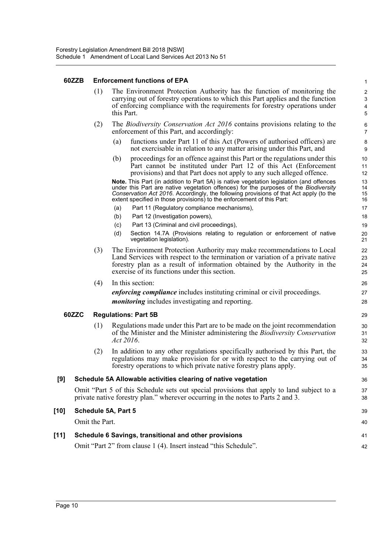#### **60ZZB Enforcement functions of EPA**

(1) The Environment Protection Authority has the function of monitoring the carrying out of forestry operations to which this Part applies and the function of enforcing compliance with the requirements for forestry operations under this Part.

36 37 38

- (2) The *Biodiversity Conservation Act 2016* contains provisions relating to the enforcement of this Part, and accordingly:
	- (a) functions under Part 11 of this Act (Powers of authorised officers) are not exercisable in relation to any matter arising under this Part, and
	- (b) proceedings for an offence against this Part or the regulations under this Part cannot be instituted under Part 12 of this Act (Enforcement provisions) and that Part does not apply to any such alleged offence.

**Note.** This Part (in addition to Part 5A) is native vegetation legislation (and offences under this Part are native vegetation offences) for the purposes of the *Biodiversity Conservation Act 2016*. Accordingly, the following provisions of that Act apply (to the extent specified in those provisions) to the enforcement of this Part:

- (a) Part 11 (Regulatory compliance mechanisms),
- (b) Part 12 (Investigation powers),
- (c) Part 13 (Criminal and civil proceedings),
- (d) Section 14.7A (Provisions relating to regulation or enforcement of native vegetation legislation).
- (3) The Environment Protection Authority may make recommendations to Local Land Services with respect to the termination or variation of a private native forestry plan as a result of information obtained by the Authority in the exercise of its functions under this section.

(4) In this section:

*enforcing compliance* includes instituting criminal or civil proceedings. *monitoring* includes investigating and reporting.

#### **60ZZC Regulations: Part 5B**

- (1) Regulations made under this Part are to be made on the joint recommendation of the Minister and the Minister administering the *Biodiversity Conservation Act 2016*.
- (2) In addition to any other regulations specifically authorised by this Part, the regulations may make provision for or with respect to the carrying out of forestry operations to which private native forestry plans apply.

#### **[9] Schedule 5A Allowable activities clearing of native vegetation**

Omit "Part 5 of this Schedule sets out special provisions that apply to land subject to a private native forestry plan." wherever occurring in the notes to Parts 2 and 3.

| [10] | Schedule 5A, Part 5                                              | 39 |
|------|------------------------------------------------------------------|----|
|      | Omit the Part.                                                   | 40 |
| [11] | Schedule 6 Savings, transitional and other provisions            | 41 |
|      | Omit "Part 2" from clause 1 (4). Insert instead "this Schedule". | 42 |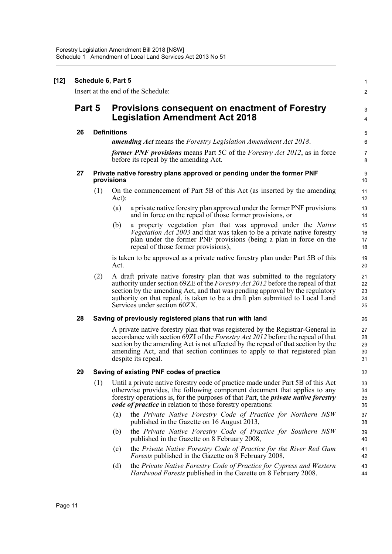| Part 5 |     | <b>Provisions consequent on enactment of Forestry</b><br><b>Legislation Amendment Act 2018</b>                                                                                                                                                                                                                                                                |  |  |  |  |
|--------|-----|---------------------------------------------------------------------------------------------------------------------------------------------------------------------------------------------------------------------------------------------------------------------------------------------------------------------------------------------------------------|--|--|--|--|
| 26     |     | <b>Definitions</b>                                                                                                                                                                                                                                                                                                                                            |  |  |  |  |
|        |     | <b>amending Act</b> means the Forestry Legislation Amendment Act 2018.                                                                                                                                                                                                                                                                                        |  |  |  |  |
|        |     | <b>former PNF provisions</b> means Part 5C of the Forestry Act 2012, as in force<br>before its repeal by the amending Act.                                                                                                                                                                                                                                    |  |  |  |  |
| 27     |     | Private native forestry plans approved or pending under the former PNF<br>provisions                                                                                                                                                                                                                                                                          |  |  |  |  |
|        | (1) | On the commencement of Part 5B of this Act (as inserted by the amending<br>Act):                                                                                                                                                                                                                                                                              |  |  |  |  |
|        |     | a private native forestry plan approved under the former PNF provisions<br>(a)<br>and in force on the repeal of those former provisions, or                                                                                                                                                                                                                   |  |  |  |  |
|        |     | a property vegetation plan that was approved under the Native<br>(b)<br>Vegetation Act 2003 and that was taken to be a private native forestry<br>plan under the former PNF provisions (being a plan in force on the<br>repeal of those former provisions),                                                                                                   |  |  |  |  |
|        |     | is taken to be approved as a private native forestry plan under Part 5B of this<br>Act.                                                                                                                                                                                                                                                                       |  |  |  |  |
|        | (2) | A draft private native forestry plan that was submitted to the regulatory<br>authority under section 69ZE of the Forestry Act 2012 before the repeal of that<br>section by the amending Act, and that was pending approval by the regulatory<br>authority on that repeal, is taken to be a draft plan submitted to Local Land<br>Services under section 60ZX. |  |  |  |  |
| 28     |     | Saving of previously registered plans that run with land                                                                                                                                                                                                                                                                                                      |  |  |  |  |
|        |     | A private native forestry plan that was registered by the Registrar-General in<br>accordance with section 69ZI of the Forestry Act 2012 before the repeal of that<br>section by the amending Act is not affected by the repeal of that section by the<br>amending Act, and that section continues to apply to that registered plan<br>despite its repeal.     |  |  |  |  |
| 29     |     | Saving of existing PNF codes of practice                                                                                                                                                                                                                                                                                                                      |  |  |  |  |
|        | (1) | Until a private native forestry code of practice made under Part 5B of this Act<br>otherwise provides, the following component document that applies to any<br>forestry operations is, for the purposes of that Part, the <i>private native forestry</i><br><i>code of practice</i> in relation to those forestry operations:                                 |  |  |  |  |
|        |     | the Private Native Forestry Code of Practice for Northern NSW<br>(a)<br>published in the Gazette on 16 August 2013,                                                                                                                                                                                                                                           |  |  |  |  |
|        |     | the Private Native Forestry Code of Practice for Southern NSW<br>(b)<br>published in the Gazette on 8 February 2008,                                                                                                                                                                                                                                          |  |  |  |  |
|        |     | the Private Native Forestry Code of Practice for the River Red Gum<br>(c)<br><i>Forests</i> published in the Gazette on 8 February 2008,                                                                                                                                                                                                                      |  |  |  |  |
|        |     | (d)<br>the Private Native Forestry Code of Practice for Cypress and Western<br><i>Hardwood Forests</i> published in the Gazette on 8 February 2008.                                                                                                                                                                                                           |  |  |  |  |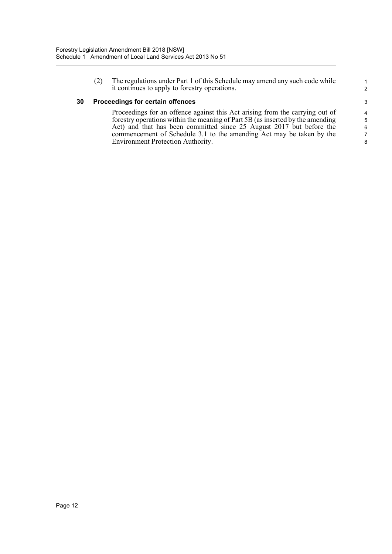(2) The regulations under Part 1 of this Schedule may amend any such code while it continues to apply to forestry operations.

#### **30 Proceedings for certain offences**

Proceedings for an offence against this Act arising from the carrying out of forestry operations within the meaning of Part 5B (as inserted by the amending Act) and that has been committed since 25 August 2017 but before the commencement of Schedule 3.1 to the amending Act may be taken by the Environment Protection Authority.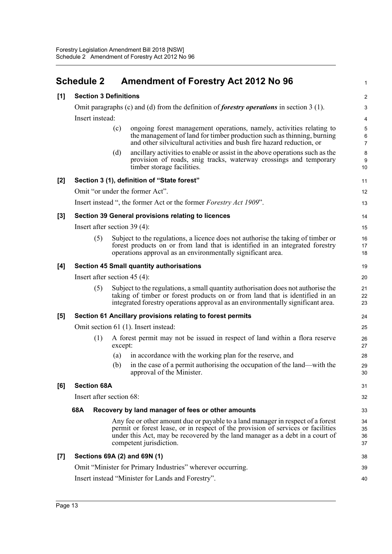<span id="page-19-0"></span>

|       | <b>Schedule 2</b>                                        |         | <b>Amendment of Forestry Act 2012 No 96</b>                                                                                                                                                                                                                                    | 1                                       |  |  |  |  |
|-------|----------------------------------------------------------|---------|--------------------------------------------------------------------------------------------------------------------------------------------------------------------------------------------------------------------------------------------------------------------------------|-----------------------------------------|--|--|--|--|
| [1]   | <b>Section 3 Definitions</b>                             |         |                                                                                                                                                                                                                                                                                | $\overline{c}$                          |  |  |  |  |
|       |                                                          |         | Omit paragraphs (c) and (d) from the definition of <i>forestry operations</i> in section $3(1)$ .                                                                                                                                                                              | 3                                       |  |  |  |  |
|       | Insert instead:                                          |         |                                                                                                                                                                                                                                                                                | 4                                       |  |  |  |  |
|       |                                                          | (c)     | ongoing forest management operations, namely, activities relating to<br>the management of land for timber production such as thinning, burning<br>and other silvicultural activities and bush fire hazard reduction, or                                                        | 5<br>$\boldsymbol{6}$<br>$\overline{7}$ |  |  |  |  |
|       |                                                          | (d)     | ancillary activities to enable or assist in the above operations such as the<br>provision of roads, snig tracks, waterway crossings and temporary<br>timber storage facilities.                                                                                                | 8<br>9<br>10                            |  |  |  |  |
| [2]   |                                                          |         | Section 3 (1), definition of "State forest"                                                                                                                                                                                                                                    | 11                                      |  |  |  |  |
|       |                                                          |         | Omit "or under the former Act".                                                                                                                                                                                                                                                | 12                                      |  |  |  |  |
|       |                                                          |         | Insert instead ", the former Act or the former Forestry Act 1909".                                                                                                                                                                                                             | 13                                      |  |  |  |  |
| [3]   |                                                          |         | Section 39 General provisions relating to licences                                                                                                                                                                                                                             | 14                                      |  |  |  |  |
|       | Insert after section $39(4)$ :                           |         |                                                                                                                                                                                                                                                                                | 15                                      |  |  |  |  |
|       | (5)                                                      |         | Subject to the regulations, a licence does not authorise the taking of timber or<br>forest products on or from land that is identified in an integrated forestry<br>operations approval as an environmentally significant area.                                                | 16<br>17<br>18                          |  |  |  |  |
| [4]   | <b>Section 45 Small quantity authorisations</b>          |         |                                                                                                                                                                                                                                                                                |                                         |  |  |  |  |
|       | Insert after section $45(4)$ :                           |         |                                                                                                                                                                                                                                                                                |                                         |  |  |  |  |
|       | (5)                                                      |         | Subject to the regulations, a small quantity authorisation does not authorise the<br>taking of timber or forest products on or from land that is identified in an<br>integrated forestry operations approval as an environmentally significant area.                           | 21<br>22<br>23                          |  |  |  |  |
| [5]   |                                                          |         | Section 61 Ancillary provisions relating to forest permits                                                                                                                                                                                                                     | 24                                      |  |  |  |  |
|       |                                                          |         | Omit section 61 (1). Insert instead:                                                                                                                                                                                                                                           | 25                                      |  |  |  |  |
|       | (1)                                                      | except: | A forest permit may not be issued in respect of land within a flora reserve                                                                                                                                                                                                    | 26<br>27                                |  |  |  |  |
|       |                                                          | (a)     | in accordance with the working plan for the reserve, and                                                                                                                                                                                                                       | 28                                      |  |  |  |  |
|       |                                                          | (b)     | in the case of a permit authorising the occupation of the land—with the<br>approval of the Minister.                                                                                                                                                                           | 29<br>30                                |  |  |  |  |
| [6]   | <b>Section 68A</b>                                       |         |                                                                                                                                                                                                                                                                                | 31                                      |  |  |  |  |
|       | Insert after section 68:                                 |         |                                                                                                                                                                                                                                                                                |                                         |  |  |  |  |
|       | 68A<br>Recovery by land manager of fees or other amounts |         |                                                                                                                                                                                                                                                                                |                                         |  |  |  |  |
|       |                                                          |         | Any fee or other amount due or payable to a land manager in respect of a forest<br>permit or forest lease, or in respect of the provision of services or facilities<br>under this Act, may be recovered by the land manager as a debt in a court of<br>competent jurisdiction. | 34<br>35<br>36<br>37                    |  |  |  |  |
| $[7]$ |                                                          |         | Sections 69A (2) and 69N (1)                                                                                                                                                                                                                                                   | 38                                      |  |  |  |  |
|       |                                                          |         | Omit "Minister for Primary Industries" wherever occurring.                                                                                                                                                                                                                     | 39                                      |  |  |  |  |
|       |                                                          |         | Insert instead "Minister for Lands and Forestry".                                                                                                                                                                                                                              | 40                                      |  |  |  |  |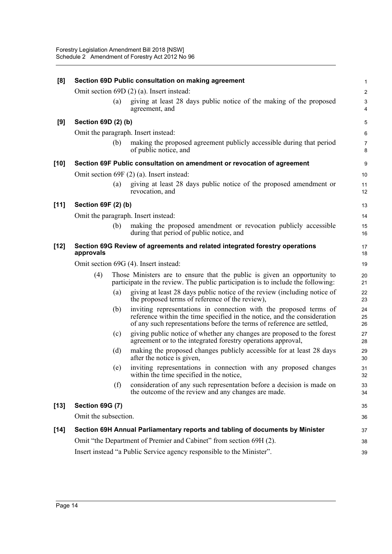| [8]    | Section 69D Public consultation on making agreement |     |                                                                                                                                                                                                                         |                     |  |  |  |
|--------|-----------------------------------------------------|-----|-------------------------------------------------------------------------------------------------------------------------------------------------------------------------------------------------------------------------|---------------------|--|--|--|
|        |                                                     |     | Omit section 69D (2) (a). Insert instead:                                                                                                                                                                               | 2                   |  |  |  |
|        |                                                     | (a) | giving at least 28 days public notice of the making of the proposed<br>agreement, and                                                                                                                                   | 3<br>4              |  |  |  |
| [9]    | Section 69D (2) (b)                                 |     |                                                                                                                                                                                                                         | $\mathbf 5$         |  |  |  |
|        |                                                     |     | Omit the paragraph. Insert instead:                                                                                                                                                                                     | 6                   |  |  |  |
|        |                                                     | (b) | making the proposed agreement publicly accessible during that period<br>of public notice, and                                                                                                                           | $\overline{7}$<br>8 |  |  |  |
| $[10]$ |                                                     |     | Section 69F Public consultation on amendment or revocation of agreement                                                                                                                                                 | 9                   |  |  |  |
|        |                                                     |     | Omit section 69F (2) (a). Insert instead:                                                                                                                                                                               | 10                  |  |  |  |
|        |                                                     | (a) | giving at least 28 days public notice of the proposed amendment or<br>revocation, and                                                                                                                                   | 11<br>12            |  |  |  |
| $[11]$ | Section 69F (2) (b)                                 |     |                                                                                                                                                                                                                         | 13                  |  |  |  |
|        |                                                     |     | Omit the paragraph. Insert instead:                                                                                                                                                                                     | 14                  |  |  |  |
|        |                                                     | (b) | making the proposed amendment or revocation publicly accessible<br>during that period of public notice, and                                                                                                             | 15<br>16            |  |  |  |
| $[12]$ | approvals                                           |     | Section 69G Review of agreements and related integrated forestry operations                                                                                                                                             | 17<br>18            |  |  |  |
|        | Omit section 69G (4). Insert instead:               |     |                                                                                                                                                                                                                         |                     |  |  |  |
|        | (4)                                                 |     | Those Ministers are to ensure that the public is given an opportunity to<br>participate in the review. The public participation is to include the following:                                                            | 20<br>21            |  |  |  |
|        |                                                     | (a) | giving at least 28 days public notice of the review (including notice of<br>the proposed terms of reference of the review),                                                                                             | 22<br>23            |  |  |  |
|        |                                                     | (b) | inviting representations in connection with the proposed terms of<br>reference within the time specified in the notice, and the consideration<br>of any such representations before the terms of reference are settled, | 24<br>25<br>26      |  |  |  |
|        |                                                     | (c) | giving public notice of whether any changes are proposed to the forest<br>agreement or to the integrated forestry operations approval,                                                                                  | 27<br>28            |  |  |  |
|        |                                                     | (d) | making the proposed changes publicly accessible for at least 28 days<br>after the notice is given,                                                                                                                      | 29<br>30            |  |  |  |
|        |                                                     | (e) | inviting representations in connection with any proposed changes<br>within the time specified in the notice,                                                                                                            | 31<br>32            |  |  |  |
|        |                                                     | (f) | consideration of any such representation before a decision is made on<br>the outcome of the review and any changes are made.                                                                                            | 33<br>34            |  |  |  |
| $[13]$ | <b>Section 69G (7)</b>                              |     |                                                                                                                                                                                                                         | 35                  |  |  |  |
|        | Omit the subsection.                                |     |                                                                                                                                                                                                                         | 36                  |  |  |  |
| $[14]$ |                                                     |     | Section 69H Annual Parliamentary reports and tabling of documents by Minister                                                                                                                                           | 37                  |  |  |  |
|        |                                                     |     | Omit "the Department of Premier and Cabinet" from section 69H (2).                                                                                                                                                      | 38                  |  |  |  |
|        |                                                     |     | Insert instead "a Public Service agency responsible to the Minister".                                                                                                                                                   | 39                  |  |  |  |
|        |                                                     |     |                                                                                                                                                                                                                         |                     |  |  |  |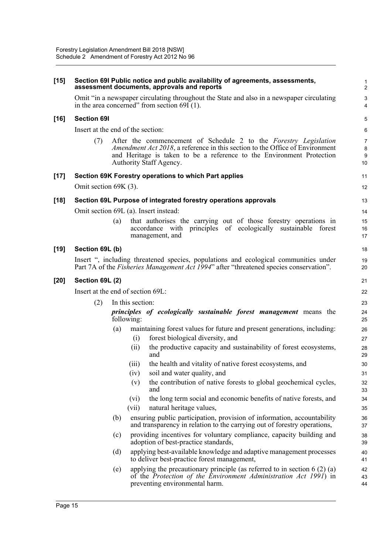| $[15]$ | Section 69I Public notice and public availability of agreements, assessments,<br>assessment documents, approvals and reports                                                                                                                                                       | 2                                      |  |  |  |  |
|--------|------------------------------------------------------------------------------------------------------------------------------------------------------------------------------------------------------------------------------------------------------------------------------------|----------------------------------------|--|--|--|--|
|        | Omit "in a newspaper circulating throughout the State and also in a newspaper circulating<br>in the area concerned" from section $69I(1)$ .                                                                                                                                        | З<br>4                                 |  |  |  |  |
| $[16]$ | <b>Section 691</b>                                                                                                                                                                                                                                                                 | Ę                                      |  |  |  |  |
|        | Insert at the end of the section:                                                                                                                                                                                                                                                  | б                                      |  |  |  |  |
|        | (7)<br>After the commencement of Schedule 2 to the Forestry Legislation<br>Amendment Act 2018, a reference in this section to the Office of Environment<br>and Heritage is taken to be a reference to the Environment Protection<br>Authority Staff Agency.                        | 7<br>ε<br>ξ<br>10                      |  |  |  |  |
| $[17]$ | Section 69K Forestry operations to which Part applies                                                                                                                                                                                                                              | 11                                     |  |  |  |  |
|        | Omit section 69K (3).                                                                                                                                                                                                                                                              | 12                                     |  |  |  |  |
| $[18]$ | Section 69L Purpose of integrated forestry operations approvals                                                                                                                                                                                                                    | 13                                     |  |  |  |  |
|        | Omit section 69L (a). Insert instead:                                                                                                                                                                                                                                              | 14                                     |  |  |  |  |
|        | that authorises the carrying out of those forestry operations in<br>(a)<br>accordance with principles of ecologically sustainable forest<br>management, and                                                                                                                        | 15<br>16<br>17                         |  |  |  |  |
| $[19]$ | Section 69L (b)                                                                                                                                                                                                                                                                    | 18                                     |  |  |  |  |
|        | Insert ", including threatened species, populations and ecological communities under<br>Part 7A of the <i>Fisheries Management Act 1994</i> " after "threatened species conservation".                                                                                             | 1 <sup>c</sup><br>20                   |  |  |  |  |
| $[20]$ | Section 69L (2)                                                                                                                                                                                                                                                                    |                                        |  |  |  |  |
|        | Insert at the end of section 69L:                                                                                                                                                                                                                                                  | 22                                     |  |  |  |  |
|        | (2)<br>In this section:<br>principles of ecologically sustainable forest management means the<br>following:                                                                                                                                                                        | 23<br>24<br>25                         |  |  |  |  |
|        | maintaining forest values for future and present generations, including:<br>(a)<br>forest biological diversity, and<br>(i)<br>the productive capacity and sustainability of forest ecosystems,<br>(ii)<br>and<br>the health and vitality of native forest ecosystems, and<br>(111) | 26<br>27<br>28<br>29<br>3 <sub>C</sub> |  |  |  |  |
|        | soil and water quality, and<br>(iv)                                                                                                                                                                                                                                                | 31                                     |  |  |  |  |
|        | the contribution of native forests to global geochemical cycles,<br>(v)<br>and                                                                                                                                                                                                     | 32<br>33                               |  |  |  |  |
|        | the long term social and economic benefits of native forests, and<br>(vi)<br>(vii)<br>natural heritage values,                                                                                                                                                                     | 34<br>35                               |  |  |  |  |
|        | ensuring public participation, provision of information, accountability<br>(b)<br>and transparency in relation to the carrying out of forestry operations,                                                                                                                         | 36<br>37                               |  |  |  |  |
|        | providing incentives for voluntary compliance, capacity building and<br>(c)<br>adoption of best-practice standards,                                                                                                                                                                | 38<br>39                               |  |  |  |  |
|        | applying best-available knowledge and adaptive management processes<br>(d)<br>to deliver best-practice forest management,                                                                                                                                                          | 40<br>41                               |  |  |  |  |
|        | applying the precautionary principle (as referred to in section $6(2)(a)$<br>(e)<br>of the Protection of the Environment Administration Act 1991) in<br>preventing environmental harm.                                                                                             | 42<br>43<br>44                         |  |  |  |  |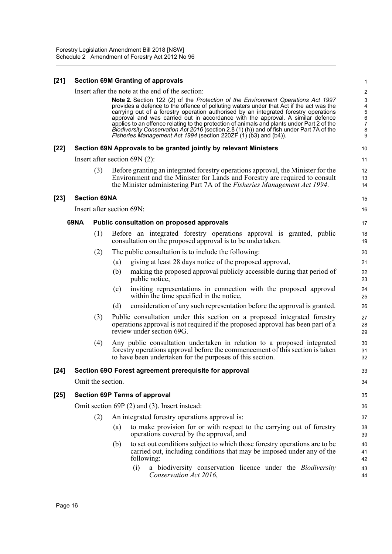#### **[21] Section 69M Granting of approvals**

|        |                           |     |     |                                                                                                                                                                                                                                                                                                                                                                                                                                                                                                                                                                                                                                                                           | $\mathbf{I}$                                                                                       |
|--------|---------------------------|-----|-----|---------------------------------------------------------------------------------------------------------------------------------------------------------------------------------------------------------------------------------------------------------------------------------------------------------------------------------------------------------------------------------------------------------------------------------------------------------------------------------------------------------------------------------------------------------------------------------------------------------------------------------------------------------------------------|----------------------------------------------------------------------------------------------------|
|        |                           |     |     | Insert after the note at the end of the section:<br>Note 2. Section 122 (2) of the Protection of the Environment Operations Act 1997<br>provides a defence to the offence of polluting waters under that Act if the act was the<br>carrying out of a forestry operation authorised by an integrated forestry operations<br>approval and was carried out in accordance with the approval. A similar defence<br>applies to an offence relating to the protection of animals and plants under Part 2 of the<br>Biodiversity Conservation Act 2016 (section 2.8 (1) (h)) and of fish under Part 7A of the<br>Fisheries Management Act 1994 (section 220ZF (1) (b3) and (b4)). | $\overline{\mathbf{c}}$<br>3<br>$\overline{\mathbf{4}}$<br>5<br>6<br>$\overline{7}$<br>$\bf8$<br>9 |
| $[22]$ |                           |     |     | Section 69N Approvals to be granted jointly by relevant Ministers                                                                                                                                                                                                                                                                                                                                                                                                                                                                                                                                                                                                         | 10                                                                                                 |
|        |                           |     |     | Insert after section $69N(2)$ :                                                                                                                                                                                                                                                                                                                                                                                                                                                                                                                                                                                                                                           | 11                                                                                                 |
|        |                           | (3) |     | Before granting an integrated forestry operations approval, the Minister for the<br>Environment and the Minister for Lands and Forestry are required to consult<br>the Minister administering Part 7A of the Fisheries Management Act 1994.                                                                                                                                                                                                                                                                                                                                                                                                                               | 12<br>13<br>14                                                                                     |
| $[23]$ | <b>Section 69NA</b>       |     |     |                                                                                                                                                                                                                                                                                                                                                                                                                                                                                                                                                                                                                                                                           | 15                                                                                                 |
|        | Insert after section 69N: |     |     |                                                                                                                                                                                                                                                                                                                                                                                                                                                                                                                                                                                                                                                                           | 16                                                                                                 |
|        | <b>69NA</b>               |     |     | Public consultation on proposed approvals                                                                                                                                                                                                                                                                                                                                                                                                                                                                                                                                                                                                                                 | 17                                                                                                 |
|        |                           | (1) |     | Before an integrated forestry operations approval is granted, public<br>consultation on the proposed approval is to be undertaken.                                                                                                                                                                                                                                                                                                                                                                                                                                                                                                                                        | 18<br>19                                                                                           |
|        |                           | (2) |     | The public consultation is to include the following:                                                                                                                                                                                                                                                                                                                                                                                                                                                                                                                                                                                                                      | 20                                                                                                 |
|        |                           |     | (a) | giving at least 28 days notice of the proposed approval,                                                                                                                                                                                                                                                                                                                                                                                                                                                                                                                                                                                                                  | 21                                                                                                 |
|        |                           |     | (b) | making the proposed approval publicly accessible during that period of<br>public notice,                                                                                                                                                                                                                                                                                                                                                                                                                                                                                                                                                                                  | 22<br>23                                                                                           |
|        |                           |     | (c) | inviting representations in connection with the proposed approval<br>within the time specified in the notice,                                                                                                                                                                                                                                                                                                                                                                                                                                                                                                                                                             | 24<br>25                                                                                           |
|        |                           |     | (d) | consideration of any such representation before the approval is granted.                                                                                                                                                                                                                                                                                                                                                                                                                                                                                                                                                                                                  | 26                                                                                                 |
|        |                           | (3) |     | Public consultation under this section on a proposed integrated forestry<br>operations approval is not required if the proposed approval has been part of a<br>review under section 69G.                                                                                                                                                                                                                                                                                                                                                                                                                                                                                  | 27<br>28<br>29                                                                                     |
|        |                           | (4) |     | Any public consultation undertaken in relation to a proposed integrated<br>forestry operations approval before the commencement of this section is taken<br>to have been undertaken for the purposes of this section.                                                                                                                                                                                                                                                                                                                                                                                                                                                     | 30<br>31<br>32                                                                                     |
| $[24]$ |                           |     |     | Section 69O Forest agreement prerequisite for approval                                                                                                                                                                                                                                                                                                                                                                                                                                                                                                                                                                                                                    | 33                                                                                                 |
|        | Omit the section.         |     |     |                                                                                                                                                                                                                                                                                                                                                                                                                                                                                                                                                                                                                                                                           | 34                                                                                                 |
| $[25]$ |                           |     |     | <b>Section 69P Terms of approval</b>                                                                                                                                                                                                                                                                                                                                                                                                                                                                                                                                                                                                                                      | 35                                                                                                 |
|        |                           |     |     | Omit section 69P (2) and (3). Insert instead:                                                                                                                                                                                                                                                                                                                                                                                                                                                                                                                                                                                                                             | 36                                                                                                 |
|        |                           | (2) |     | An integrated forestry operations approval is:                                                                                                                                                                                                                                                                                                                                                                                                                                                                                                                                                                                                                            | 37                                                                                                 |
|        |                           |     | (a) | to make provision for or with respect to the carrying out of forestry<br>operations covered by the approval, and                                                                                                                                                                                                                                                                                                                                                                                                                                                                                                                                                          | 38<br>39                                                                                           |
|        |                           |     | (b) | to set out conditions subject to which those forestry operations are to be<br>carried out, including conditions that may be imposed under any of the<br>following:                                                                                                                                                                                                                                                                                                                                                                                                                                                                                                        | 40<br>41<br>42                                                                                     |
|        |                           |     |     | a biodiversity conservation licence under the <i>Biodiversity</i><br>(i)<br>Conservation Act 2016,                                                                                                                                                                                                                                                                                                                                                                                                                                                                                                                                                                        | 43<br>44                                                                                           |

1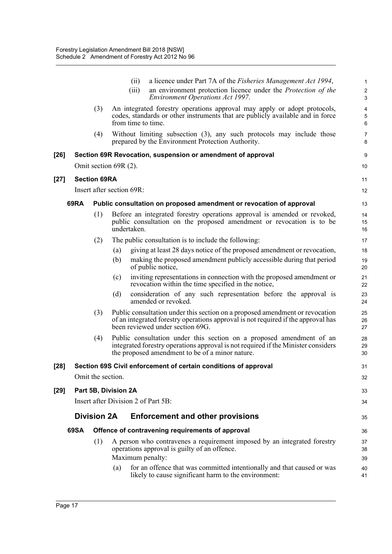|        |      |                     | a licence under Part 7A of the <i>Fisheries Management Act 1994</i> ,<br>(ii)<br>an environment protection licence under the Protection of the<br>(iii)<br><b>Environment Operations Act 1997.</b>           | $\mathbf{1}$<br>$\sqrt{2}$<br>3 |
|--------|------|---------------------|--------------------------------------------------------------------------------------------------------------------------------------------------------------------------------------------------------------|---------------------------------|
|        |      | (3)                 | An integrated forestry operations approval may apply or adopt protocols,<br>codes, standards or other instruments that are publicly available and in force<br>from time to time.                             | 4<br>$\sqrt{5}$<br>6            |
|        |      | (4)                 | Without limiting subsection $(3)$ , any such protocols may include those<br>prepared by the Environment Protection Authority.                                                                                | $\overline{7}$<br>8             |
| [26]   |      |                     | Section 69R Revocation, suspension or amendment of approval                                                                                                                                                  | $\boldsymbol{9}$                |
|        |      |                     | Omit section 69R (2).                                                                                                                                                                                        | 10                              |
| [27]   |      | <b>Section 69RA</b> |                                                                                                                                                                                                              | 11                              |
|        |      |                     | Insert after section 69R:                                                                                                                                                                                    | 12                              |
|        | 69RA |                     | Public consultation on proposed amendment or revocation of approval                                                                                                                                          | 13                              |
|        |      | (1)                 | Before an integrated forestry operations approval is amended or revoked,<br>public consultation on the proposed amendment or revocation is to be<br>undertaken.                                              | 14<br>15<br>16                  |
|        |      | (2)                 | The public consultation is to include the following:                                                                                                                                                         | 17                              |
|        |      |                     | giving at least 28 days notice of the proposed amendment or revocation,<br>(a)                                                                                                                               | 18                              |
|        |      |                     | making the proposed amendment publicly accessible during that period<br>(b)<br>of public notice,                                                                                                             | 19<br>20                        |
|        |      |                     | inviting representations in connection with the proposed amendment or<br>(c)<br>revocation within the time specified in the notice,                                                                          | 21<br>22                        |
|        |      |                     | (d)<br>consideration of any such representation before the approval is<br>amended or revoked.                                                                                                                | 23<br>24                        |
|        |      | (3)                 | Public consultation under this section on a proposed amendment or revocation<br>of an integrated forestry operations approval is not required if the approval has<br>been reviewed under section 69G.        | 25<br>26<br>27                  |
|        |      | (4)                 | Public consultation under this section on a proposed amendment of an<br>integrated forestry operations approval is not required if the Minister considers<br>the proposed amendment to be of a minor nature. | 28<br>29<br>30                  |
| $[28]$ |      |                     | Section 69S Civil enforcement of certain conditions of approval                                                                                                                                              | 31                              |
|        |      | Omit the section.   |                                                                                                                                                                                                              | 32                              |
| [29]   |      |                     | Part 5B, Division 2A                                                                                                                                                                                         | 33                              |
|        |      |                     | Insert after Division 2 of Part 5B:                                                                                                                                                                          | 34                              |
|        |      | <b>Division 2A</b>  | <b>Enforcement and other provisions</b>                                                                                                                                                                      | 35                              |
|        | 69SA |                     | Offence of contravening requirements of approval                                                                                                                                                             | 36                              |
|        |      | (1)                 | A person who contravenes a requirement imposed by an integrated forestry<br>operations approval is guilty of an offence.<br>Maximum penalty:                                                                 | 37<br>38<br>39                  |
|        |      |                     | for an offence that was committed intentionally and that caused or was<br>(a)<br>likely to cause significant harm to the environment:                                                                        | 40<br>41                        |
|        |      |                     |                                                                                                                                                                                                              |                                 |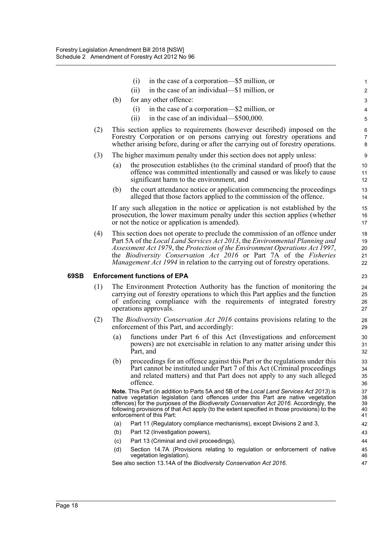|      |     | in the case of a corporation—\$5 million, or<br>(i)                                                                                                                                                                                                                                                                                                                                                       | 1                          |
|------|-----|-----------------------------------------------------------------------------------------------------------------------------------------------------------------------------------------------------------------------------------------------------------------------------------------------------------------------------------------------------------------------------------------------------------|----------------------------|
|      |     | in the case of an individual—\$1 million, or<br>(ii)                                                                                                                                                                                                                                                                                                                                                      | $\overline{\mathbf{c}}$    |
|      |     | for any other offence:<br>(b)                                                                                                                                                                                                                                                                                                                                                                             | 3                          |
|      |     | in the case of a corporation—\$2 million, or<br>(i)                                                                                                                                                                                                                                                                                                                                                       | 4                          |
|      |     | in the case of an individual—\$500,000.<br>(ii)                                                                                                                                                                                                                                                                                                                                                           | 5                          |
|      | (2) | This section applies to requirements (however described) imposed on the<br>Forestry Corporation or on persons carrying out forestry operations and<br>whether arising before, during or after the carrying out of forestry operations.                                                                                                                                                                    | 6<br>7<br>8                |
|      | (3) | The higher maximum penalty under this section does not apply unless:                                                                                                                                                                                                                                                                                                                                      | 9                          |
|      |     | the prosecution establishes (to the criminal standard of proof) that the<br>(a)<br>offence was committed intentionally and caused or was likely to cause<br>significant harm to the environment, and                                                                                                                                                                                                      | 10<br>11<br>12             |
|      |     | the court attendance notice or application commencing the proceedings<br>(b)<br>alleged that those factors applied to the commission of the offence.                                                                                                                                                                                                                                                      | 13<br>14                   |
|      |     | If any such allegation in the notice or application is not established by the<br>prosecution, the lower maximum penalty under this section applies (whether<br>or not the notice or application is amended).                                                                                                                                                                                              | 15<br>16<br>17             |
|      | (4) | This section does not operate to preclude the commission of an offence under<br>Part 5A of the Local Land Services Act 2013, the Environmental Planning and<br>Assessment Act 1979, the Protection of the Environment Operations Act 1997,<br>the Biodiversity Conservation Act 2016 or Part 7A of the Fisheries<br>Management Act 1994 in relation to the carrying out of forestry operations.           | 18<br>19<br>20<br>21<br>22 |
|      |     |                                                                                                                                                                                                                                                                                                                                                                                                           |                            |
| 69SB |     | <b>Enforcement functions of EPA</b>                                                                                                                                                                                                                                                                                                                                                                       | 23                         |
|      | (1) | The Environment Protection Authority has the function of monitoring the<br>carrying out of forestry operations to which this Part applies and the function<br>of enforcing compliance with the requirements of integrated forestry<br>operations approvals.                                                                                                                                               | 24<br>25<br>26<br>27       |
|      | (2) | The <i>Biodiversity Conservation Act 2016</i> contains provisions relating to the<br>enforcement of this Part, and accordingly:                                                                                                                                                                                                                                                                           | 28<br>29                   |
|      |     | functions under Part 6 of this Act (Investigations and enforcement<br>(a)<br>powers) are not exercisable in relation to any matter arising under this<br>Part, and                                                                                                                                                                                                                                        | 30<br>31<br>32             |
|      |     | proceedings for an offence against this Part or the regulations under this<br>(b)<br>Part cannot be instituted under Part 7 of this Act (Criminal proceedings<br>and related matters) and that Part does not apply to any such alleged<br>offence.                                                                                                                                                        | 33<br>34<br>35<br>36       |
|      |     | <b>Note.</b> This Part (in addition to Parts 5A and 5B of the Local Land Services Act 2013) is<br>native vegetation legislation (and offences under this Part are native vegetation<br>offences) for the purposes of the Biodiversity Conservation Act 2016. Accordingly, the<br>following provisions of that Act apply (to the extent specified in those provisions) to the<br>enforcement of this Part: | 37<br>38<br>39<br>40<br>41 |
|      |     | (a)<br>Part 11 (Regulatory compliance mechanisms), except Divisions 2 and 3,                                                                                                                                                                                                                                                                                                                              | 42                         |
|      |     | (b)<br>Part 12 (Investigation powers),                                                                                                                                                                                                                                                                                                                                                                    | 43                         |
|      |     | Part 13 (Criminal and civil proceedings),<br>(c)                                                                                                                                                                                                                                                                                                                                                          | 44                         |
|      |     | Section 14.7A (Provisions relating to regulation or enforcement of native<br>(d)<br>vegetation legislation).                                                                                                                                                                                                                                                                                              | 45<br>46                   |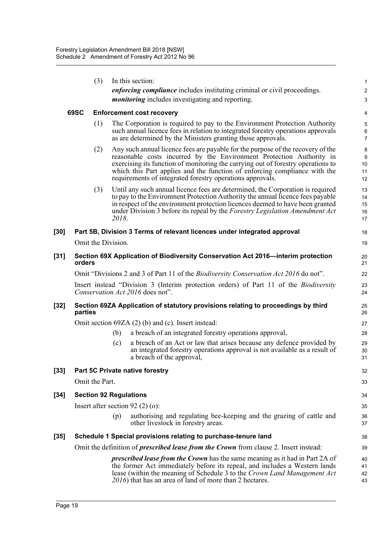|        |         | (3)                           |       | In this section:                                                                                                                                                                                                                                                                                                                                                                      | $\mathbf{1}$                       |
|--------|---------|-------------------------------|-------|---------------------------------------------------------------------------------------------------------------------------------------------------------------------------------------------------------------------------------------------------------------------------------------------------------------------------------------------------------------------------------------|------------------------------------|
|        |         |                               |       | <i>enforcing compliance</i> includes instituting criminal or civil proceedings.                                                                                                                                                                                                                                                                                                       | 2                                  |
|        |         |                               |       | <i>monitoring</i> includes investigating and reporting.                                                                                                                                                                                                                                                                                                                               | 3                                  |
|        | 69SC    |                               |       | <b>Enforcement cost recovery</b>                                                                                                                                                                                                                                                                                                                                                      | 4                                  |
|        |         | (1)                           |       | The Corporation is required to pay to the Environment Protection Authority<br>such annual licence fees in relation to integrated forestry operations approvals<br>as are determined by the Ministers granting those approvals.                                                                                                                                                        | $\mathbf 5$<br>6<br>$\overline{7}$ |
|        |         | (2)                           |       | Any such annual licence fees are payable for the purpose of the recovery of the<br>reasonable costs incurred by the Environment Protection Authority in<br>exercising its function of monitoring the carrying out of forestry operations to<br>which this Part applies and the function of enforcing compliance with the<br>requirements of integrated forestry operations approvals. | 8<br>9<br>10<br>11<br>12           |
|        |         | (3)                           | 2018. | Until any such annual licence fees are determined, the Corporation is required<br>to pay to the Environment Protection Authority the annual licence fees payable<br>in respect of the environment protection licences deemed to have been granted<br>under Division 3 before its repeal by the Forestry Legislation Amendment Act                                                     | 13<br>14<br>15<br>16<br>17         |
| $[30]$ |         |                               |       | Part 5B, Division 3 Terms of relevant licences under integrated approval                                                                                                                                                                                                                                                                                                              | 18                                 |
|        |         | Omit the Division.            |       |                                                                                                                                                                                                                                                                                                                                                                                       | 19                                 |
| $[31]$ | orders  |                               |       | Section 69X Application of Biodiversity Conservation Act 2016—interim protection                                                                                                                                                                                                                                                                                                      | 20<br>21                           |
|        |         |                               |       | Omit "Divisions 2 and 3 of Part 11 of the <i>Biodiversity Conservation Act 2016</i> do not".                                                                                                                                                                                                                                                                                          | 22                                 |
|        |         |                               |       | Insert instead "Division 3 (Interim protection orders) of Part 11 of the <i>Biodiversity</i><br>Conservation Act 2016 does not".                                                                                                                                                                                                                                                      | 23<br>24                           |
| $[32]$ | parties |                               |       | Section 69ZA Application of statutory provisions relating to proceedings by third                                                                                                                                                                                                                                                                                                     | 25<br>26                           |
|        |         |                               |       | Omit section $69ZA(2)$ (b) and (c). Insert instead:                                                                                                                                                                                                                                                                                                                                   | 27                                 |
|        |         |                               | (b)   | a breach of an integrated forestry operations approval,                                                                                                                                                                                                                                                                                                                               | 28                                 |
|        |         |                               | (c)   | a breach of an Act or law that arises because any defence provided by<br>an integrated forestry operations approval is not available as a result of<br>a breach of the approval,                                                                                                                                                                                                      | 29<br>30<br>31                     |
| $[33]$ |         |                               |       | Part 5C Private native forestry                                                                                                                                                                                                                                                                                                                                                       | 32                                 |
|        |         | Omit the Part.                |       |                                                                                                                                                                                                                                                                                                                                                                                       | 33                                 |
| $[34]$ |         | <b>Section 92 Regulations</b> |       |                                                                                                                                                                                                                                                                                                                                                                                       | 34                                 |
|        |         |                               |       | Insert after section $92(2)(o)$ :                                                                                                                                                                                                                                                                                                                                                     | 35                                 |
|        |         |                               | (p)   | authorising and regulating bee-keeping and the grazing of cattle and<br>other livestock in forestry areas.                                                                                                                                                                                                                                                                            | 36<br>37                           |
| $[35]$ |         |                               |       | Schedule 1 Special provisions relating to purchase-tenure land                                                                                                                                                                                                                                                                                                                        | 38                                 |
|        |         |                               |       | Omit the definition of <i>prescribed lease from the Crown</i> from clause 2. Insert instead:                                                                                                                                                                                                                                                                                          | 39                                 |
|        |         |                               |       | <i>prescribed lease from the Crown</i> has the same meaning as it had in Part 2A of<br>the former Act immediately before its repeal, and includes a Western lands<br>lease (within the meaning of Schedule 3 to the Crown Land Management Act<br>2016) that has an area of land of more than 2 hectares.                                                                              | 40<br>41<br>42<br>43               |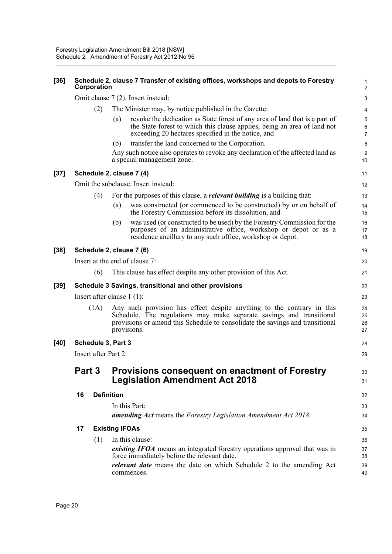| $[36]$ | Schedule 2, clause 7 Transfer of existing offices, workshops and depots to Forestry<br>Corporation |      |                              |                                                                                                                                                                                                                                                |                          |  |  |  |
|--------|----------------------------------------------------------------------------------------------------|------|------------------------------|------------------------------------------------------------------------------------------------------------------------------------------------------------------------------------------------------------------------------------------------|--------------------------|--|--|--|
|        |                                                                                                    |      |                              | Omit clause 7 (2). Insert instead:                                                                                                                                                                                                             | 3                        |  |  |  |
|        |                                                                                                    | (2)  |                              | The Minister may, by notice published in the Gazette:                                                                                                                                                                                          |                          |  |  |  |
|        |                                                                                                    |      | (a)                          | revoke the dedication as State forest of any area of land that is a part of<br>the State forest to which this clause applies, being an area of land not<br>exceeding 20 hectares specified in the notice, and                                  | 5<br>6<br>$\overline{7}$ |  |  |  |
|        |                                                                                                    |      | (b)                          | transfer the land concerned to the Corporation.                                                                                                                                                                                                | 8                        |  |  |  |
|        |                                                                                                    |      |                              | Any such notice also operates to revoke any declaration of the affected land as<br>a special management zone.                                                                                                                                  | 9<br>10                  |  |  |  |
| $[37]$ |                                                                                                    |      |                              | Schedule 2, clause 7 (4)                                                                                                                                                                                                                       | 11                       |  |  |  |
|        |                                                                                                    |      |                              | Omit the subclause. Insert instead:                                                                                                                                                                                                            | 12                       |  |  |  |
|        |                                                                                                    | (4)  |                              | For the purposes of this clause, a <i>relevant building</i> is a building that:                                                                                                                                                                | 13                       |  |  |  |
|        |                                                                                                    |      | (a)                          | was constructed (or commenced to be constructed) by or on behalf of<br>the Forestry Commission before its dissolution, and                                                                                                                     | 14<br>15                 |  |  |  |
|        |                                                                                                    |      | (b)                          | was used (or constructed to be used) by the Forestry Commission for the<br>purposes of an administrative office, workshop or depot or as a<br>residence ancillary to any such office, workshop or depot.                                       | 16<br>17<br>18           |  |  |  |
| $[38]$ |                                                                                                    |      |                              | Schedule 2, clause 7 (6)                                                                                                                                                                                                                       | 19                       |  |  |  |
|        |                                                                                                    |      |                              | Insert at the end of clause 7:                                                                                                                                                                                                                 | 20                       |  |  |  |
|        |                                                                                                    | (6)  |                              | This clause has effect despite any other provision of this Act.                                                                                                                                                                                | 21                       |  |  |  |
| $[39]$ |                                                                                                    |      |                              | Schedule 3 Savings, transitional and other provisions                                                                                                                                                                                          | 22                       |  |  |  |
|        |                                                                                                    |      | Insert after clause $1(1)$ : |                                                                                                                                                                                                                                                | 23                       |  |  |  |
|        |                                                                                                    | (1A) |                              | Any such provision has effect despite anything to the contrary in this<br>Schedule. The regulations may make separate savings and transitional<br>provisions or amend this Schedule to consolidate the savings and transitional<br>provisions. | 24<br>25<br>26<br>27     |  |  |  |
| [40]   | Schedule 3, Part 3                                                                                 |      |                              |                                                                                                                                                                                                                                                |                          |  |  |  |
|        | <b>Insert after Part 2:</b>                                                                        |      |                              |                                                                                                                                                                                                                                                |                          |  |  |  |
|        | <b>Part 3</b>                                                                                      |      |                              | <b>Provisions consequent on enactment of Forestry</b><br><b>Legislation Amendment Act 2018</b>                                                                                                                                                 | 30<br>31                 |  |  |  |
|        | 16                                                                                                 |      | <b>Definition</b>            |                                                                                                                                                                                                                                                | 32                       |  |  |  |
|        |                                                                                                    |      |                              | In this Part:<br>amending Act means the Forestry Legislation Amendment Act 2018.                                                                                                                                                               | 33<br>34                 |  |  |  |
|        | 17                                                                                                 |      | <b>Existing IFOAs</b>        |                                                                                                                                                                                                                                                | 35                       |  |  |  |
|        |                                                                                                    | (1)  |                              | In this clause:                                                                                                                                                                                                                                | 36                       |  |  |  |
|        |                                                                                                    |      |                              | existing IFOA means an integrated forestry operations approval that was in<br>force immediately before the relevant date.                                                                                                                      | 37<br>38                 |  |  |  |
|        |                                                                                                    |      |                              | <i>relevant date</i> means the date on which Schedule 2 to the amending Act<br>commences.                                                                                                                                                      | 39<br>40                 |  |  |  |
|        |                                                                                                    |      |                              |                                                                                                                                                                                                                                                |                          |  |  |  |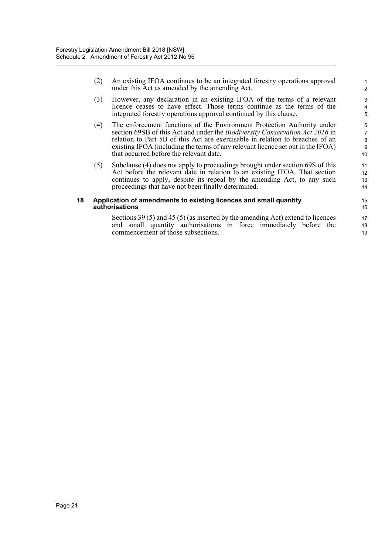(2) An existing IFOA continues to be an integrated forestry operations approval under this Act as amended by the amending Act.

- (3) However, any declaration in an existing IFOA of the terms of a relevant licence ceases to have effect. Those terms continue as the terms of the integrated forestry operations approval continued by this clause.
- (4) The enforcement functions of the Environment Protection Authority under section 69SB of this Act and under the *Biodiversity Conservation Act 2016* in relation to Part 5B of this Act are exercisable in relation to breaches of an existing IFOA (including the terms of any relevant licence set out in the IFOA) that occurred before the relevant date.
- (5) Subclause (4) does not apply to proceedings brought under section 69S of this Act before the relevant date in relation to an existing IFOA. That section continues to apply, despite its repeal by the amending Act, to any such proceedings that have not been finally determined.

#### **18 Application of amendments to existing licences and small quantity authorisations**

Sections 39 (5) and 45 (5) (as inserted by the amending Act) extend to licences and small quantity authorisations in force immediately before the commencement of those subsections.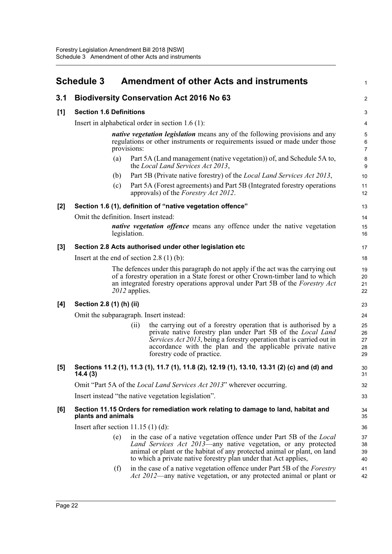<span id="page-28-0"></span>

|       | <b>Schedule 3</b>                    |     |               | <b>Amendment of other Acts and instruments</b>                                                                                                                                                                                                                                                              | 1                          |
|-------|--------------------------------------|-----|---------------|-------------------------------------------------------------------------------------------------------------------------------------------------------------------------------------------------------------------------------------------------------------------------------------------------------------|----------------------------|
| 3.1   |                                      |     |               | <b>Biodiversity Conservation Act 2016 No 63</b>                                                                                                                                                                                                                                                             | $\overline{2}$             |
| [1]   | <b>Section 1.6 Definitions</b>       |     |               |                                                                                                                                                                                                                                                                                                             | $\ensuremath{\mathsf{3}}$  |
|       |                                      |     |               | Insert in alphabetical order in section $1.6(1)$ :                                                                                                                                                                                                                                                          | 4                          |
|       |                                      |     | provisions:   | <i>native vegetation legislation</i> means any of the following provisions and any<br>regulations or other instruments or requirements issued or made under those                                                                                                                                           | 5<br>6<br>$\overline{7}$   |
|       |                                      | (a) |               | Part 5A (Land management (native vegetation)) of, and Schedule 5A to,<br>the Local Land Services Act 2013,                                                                                                                                                                                                  | 8<br>9                     |
|       |                                      | (b) |               | Part 5B (Private native forestry) of the <i>Local Land Services Act 2013</i> ,                                                                                                                                                                                                                              | 10                         |
|       |                                      | (c) |               | Part 5A (Forest agreements) and Part 5B (Integrated forestry operations<br>approvals) of the <i>Forestry Act 2012</i> .                                                                                                                                                                                     | 11<br>12                   |
| $[2]$ |                                      |     |               | Section 1.6 (1), definition of "native vegetation offence"                                                                                                                                                                                                                                                  | 13                         |
|       | Omit the definition. Insert instead: |     |               |                                                                                                                                                                                                                                                                                                             | 14                         |
|       |                                      |     | legislation.  | <i>native vegetation offence</i> means any offence under the native vegetation                                                                                                                                                                                                                              | 15<br>16                   |
| $[3]$ |                                      |     |               | Section 2.8 Acts authorised under other legislation etc                                                                                                                                                                                                                                                     | 17                         |
|       |                                      |     |               | Insert at the end of section $2.8(1)(b)$ :                                                                                                                                                                                                                                                                  | 18                         |
|       |                                      |     | 2012 applies. | The defences under this paragraph do not apply if the act was the carrying out<br>of a forestry operation in a State forest or other Crown-timber land to which<br>an integrated forestry operations approval under Part 5B of the Forestry Act                                                             | 19<br>20<br>21<br>22       |
| [4]   | Section 2.8 (1) (h) (ii)             |     |               |                                                                                                                                                                                                                                                                                                             | 23                         |
|       |                                      |     |               | Omit the subparagraph. Insert instead:                                                                                                                                                                                                                                                                      | 24                         |
|       |                                      |     | (ii)          | the carrying out of a forestry operation that is authorised by a<br>private native forestry plan under Part 5B of the <i>Local Land</i><br>Services Act 2013, being a forestry operation that is carried out in<br>accordance with the plan and the applicable private native<br>forestry code of practice. | 25<br>26<br>27<br>28<br>29 |
| $[5]$ | 14.4(3)                              |     |               | Sections 11.2 (1), 11.3 (1), 11.7 (1), 11.8 (2), 12.19 (1), 13.10, 13.31 (2) (c) and (d) and                                                                                                                                                                                                                | $30\,$<br>31               |
|       |                                      |     |               | Omit "Part 5A of the Local Land Services Act 2013" wherever occurring.                                                                                                                                                                                                                                      | 32                         |
|       |                                      |     |               | Insert instead "the native vegetation legislation".                                                                                                                                                                                                                                                         | 33                         |
| [6]   | plants and animals                   |     |               | Section 11.15 Orders for remediation work relating to damage to land, habitat and                                                                                                                                                                                                                           | 34<br>35                   |
|       | Insert after section $11.15(1)(d)$ : |     |               |                                                                                                                                                                                                                                                                                                             | 36                         |
|       |                                      | (e) |               | in the case of a native vegetation offence under Part 5B of the <i>Local</i><br>Land Services Act 2013—any native vegetation, or any protected<br>animal or plant or the habitat of any protected animal or plant, on land<br>to which a private native forestry plan under that Act applies,               | 37<br>38<br>39<br>40       |
|       |                                      | (f) |               | in the case of a native vegetation offence under Part 5B of the <i>Forestry</i><br><i>Act 2012</i> —any native vegetation, or any protected animal or plant or                                                                                                                                              | 41<br>42                   |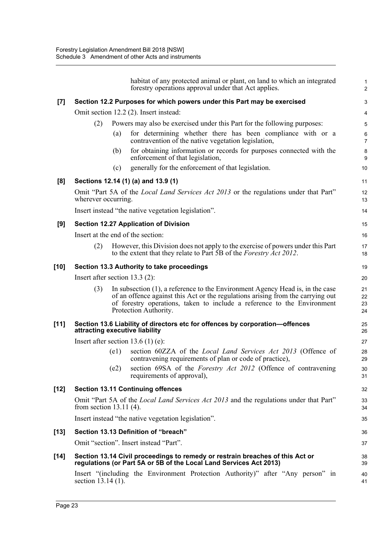|        | habitat of any protected animal or plant, on land to which an integrated<br>forestry operations approval under that Act applies.                                                                                                                                            | 1<br>$\overline{a}$  |
|--------|-----------------------------------------------------------------------------------------------------------------------------------------------------------------------------------------------------------------------------------------------------------------------------|----------------------|
| [7]    | Section 12.2 Purposes for which powers under this Part may be exercised                                                                                                                                                                                                     | 3                    |
|        | Omit section 12.2 (2). Insert instead:                                                                                                                                                                                                                                      | 4                    |
|        | Powers may also be exercised under this Part for the following purposes:<br>(2)                                                                                                                                                                                             | 5                    |
|        | for determining whether there has been compliance with or a<br>(a)<br>contravention of the native vegetation legislation,                                                                                                                                                   | 6<br>$\overline{7}$  |
|        | for obtaining information or records for purposes connected with the<br>(b)<br>enforcement of that legislation,                                                                                                                                                             | 8<br>9               |
|        | generally for the enforcement of that legislation.<br>(c)                                                                                                                                                                                                                   | 10                   |
| [8]    | Sections 12.14 (1) (a) and 13.9 (1)                                                                                                                                                                                                                                         | 11                   |
|        | Omit "Part 5A of the <i>Local Land Services Act 2013</i> or the regulations under that Part"<br>wherever occurring.                                                                                                                                                         | 12<br>13             |
|        | Insert instead "the native vegetation legislation".                                                                                                                                                                                                                         | 14                   |
| [9]    | <b>Section 12.27 Application of Division</b>                                                                                                                                                                                                                                | 15                   |
|        | Insert at the end of the section:                                                                                                                                                                                                                                           | 16                   |
|        | However, this Division does not apply to the exercise of powers under this Part<br>(2)<br>to the extent that they relate to Part 5B of the <i>Forestry Act 2012</i> .                                                                                                       | 17<br>18             |
| $[10]$ | Section 13.3 Authority to take proceedings                                                                                                                                                                                                                                  | 19                   |
|        | Insert after section $13.3$ (2):                                                                                                                                                                                                                                            | 20                   |
|        | (3)<br>In subsection (1), a reference to the Environment Agency Head is, in the case<br>of an offence against this Act or the regulations arising from the carrying out<br>of forestry operations, taken to include a reference to the Environment<br>Protection Authority. | 21<br>22<br>23<br>24 |
| $[11]$ | Section 13.6 Liability of directors etc for offences by corporation-offences<br>attracting executive liability                                                                                                                                                              | 25<br>26             |
|        | Insert after section $13.6(1)(e)$ :                                                                                                                                                                                                                                         | 27                   |
|        | (e1)<br>section 60ZZA of the <i>Local Land Services Act 2013</i> (Offence of<br>contravening requirements of plan or code of practice),                                                                                                                                     | 28<br>29             |
|        | section 69SA of the Forestry Act 2012 (Offence of contravening<br>(e2)<br>requirements of approval),                                                                                                                                                                        | 30<br>31             |
| $[12]$ | <b>Section 13.11 Continuing offences</b>                                                                                                                                                                                                                                    | 32                   |
|        | Omit "Part 5A of the <i>Local Land Services Act 2013</i> and the regulations under that Part"<br>from section $13.11(4)$ .                                                                                                                                                  | 33<br>34             |
|        | Insert instead "the native vegetation legislation".                                                                                                                                                                                                                         | 35                   |
| $[13]$ | Section 13.13 Definition of "breach"                                                                                                                                                                                                                                        | 36                   |
|        | Omit "section". Insert instead "Part".                                                                                                                                                                                                                                      | 37                   |
| $[14]$ | Section 13.14 Civil proceedings to remedy or restrain breaches of this Act or<br>regulations (or Part 5A or 5B of the Local Land Services Act 2013)                                                                                                                         | 38<br>39             |
|        | Insert "(including the Environment Protection Authority)" after "Any person" in<br>section 13.14 (1).                                                                                                                                                                       | 40<br>41             |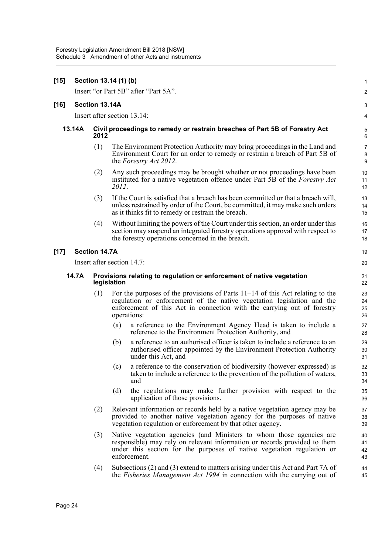| $[15]$ |                            | Section 13.14 (1) (b) |                                                                                      |                                                                                                                                                                                                                                             |                            |  |  |
|--------|----------------------------|-----------------------|--------------------------------------------------------------------------------------|---------------------------------------------------------------------------------------------------------------------------------------------------------------------------------------------------------------------------------------------|----------------------------|--|--|
|        |                            |                       |                                                                                      | Insert "or Part 5B" after "Part 5A".                                                                                                                                                                                                        | 2                          |  |  |
| $[16]$ |                            | Section 13.14A        |                                                                                      |                                                                                                                                                                                                                                             |                            |  |  |
|        |                            |                       |                                                                                      | Insert after section 13.14:                                                                                                                                                                                                                 | 4                          |  |  |
|        | 13.14A                     | 2012                  |                                                                                      | Civil proceedings to remedy or restrain breaches of Part 5B of Forestry Act                                                                                                                                                                 | ć<br>Е                     |  |  |
|        |                            | (1)                   |                                                                                      | The Environment Protection Authority may bring proceedings in the Land and<br>Environment Court for an order to remedy or restrain a breach of Part 5B of<br>the <i>Forestry Act 2012</i> .                                                 | 7<br>ε<br>ς                |  |  |
|        |                            | (2)                   | 2012.                                                                                | Any such proceedings may be brought whether or not proceedings have been<br>instituted for a native vegetation offence under Part 5B of the Forestry Act                                                                                    | 1 <sup>C</sup><br>11<br>12 |  |  |
|        |                            | (3)                   |                                                                                      | If the Court is satisfied that a breach has been committed or that a breach will,<br>unless restrained by order of the Court, be committed, it may make such orders<br>as it thinks fit to remedy or restrain the breach.                   | 13<br>14<br>15             |  |  |
|        |                            | (4)                   |                                                                                      | Without limiting the powers of the Court under this section, an order under this<br>section may suspend an integrated forestry operations approval with respect to<br>the forestry operations concerned in the breach.                      | 16<br>17<br>18             |  |  |
| $[17]$ |                            | <b>Section 14.7A</b>  |                                                                                      |                                                                                                                                                                                                                                             | 1 <sup>c</sup>             |  |  |
|        | Insert after section 14.7: |                       |                                                                                      |                                                                                                                                                                                                                                             |                            |  |  |
|        | 14.7A                      |                       | Provisions relating to regulation or enforcement of native vegetation<br>legislation |                                                                                                                                                                                                                                             |                            |  |  |
|        |                            | (1)                   | operations:                                                                          | For the purposes of the provisions of Parts $11-14$ of this Act relating to the<br>regulation or enforcement of the native vegetation legislation and the<br>enforcement of this Act in connection with the carrying out of forestry        | 23<br>24<br>25<br>26       |  |  |
|        |                            |                       | (a)                                                                                  | a reference to the Environment Agency Head is taken to include a<br>reference to the Environment Protection Authority, and                                                                                                                  | 27<br>28                   |  |  |
|        |                            |                       | (b)                                                                                  | a reference to an authorised officer is taken to include a reference to an<br>authorised officer appointed by the Environment Protection Authority<br>under this Act, and                                                                   | 29<br>30<br>31             |  |  |
|        |                            |                       | (c)                                                                                  | a reference to the conservation of biodiversity (however expressed) is<br>taken to include a reference to the prevention of the pollution of waters,<br>and                                                                                 | 32<br>33<br>34             |  |  |
|        |                            |                       | (d)                                                                                  | the regulations may make further provision with respect to the<br>application of those provisions.                                                                                                                                          | 35<br>36                   |  |  |
|        |                            | (2)                   |                                                                                      | Relevant information or records held by a native vegetation agency may be<br>provided to another native vegetation agency for the purposes of native<br>vegetation regulation or enforcement by that other agency.                          | 37<br>38<br>39             |  |  |
|        |                            | (3)                   |                                                                                      | Native vegetation agencies (and Ministers to whom those agencies are<br>responsible) may rely on relevant information or records provided to them<br>under this section for the purposes of native vegetation regulation or<br>enforcement. | 40<br>41<br>42<br>43       |  |  |
|        |                            | (4)                   |                                                                                      | Subsections (2) and (3) extend to matters arising under this Act and Part 7A of<br>the <i>Fisheries Management Act 1994</i> in connection with the carrying out of                                                                          | 44<br>45                   |  |  |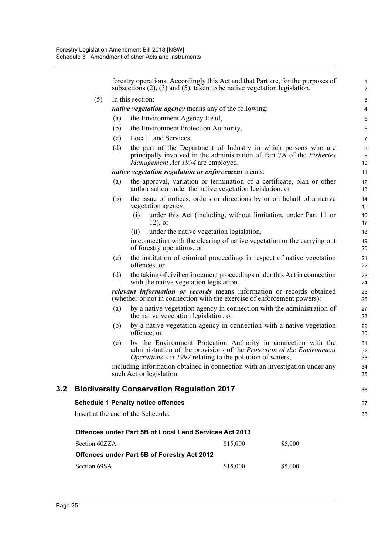forestry operations. Accordingly this Act and that Part are, for the purposes of subsections (2), (3) and (5), taken to be native vegetation legislation. (5) In this section: *native vegetation agency* means any of the following: (a) the Environment Agency Head, (b) the Environment Protection Authority, (c) Local Land Services, (d) the part of the Department of Industry in which persons who are principally involved in the administration of Part 7A of the *Fisheries Management Act 1994* are employed. *native vegetation regulation or enforcement* means: (a) the approval, variation or termination of a certificate, plan or other authorisation under the native vegetation legislation, or (b) the issue of notices, orders or directions by or on behalf of a native vegetation agency: (i) under this Act (including, without limitation, under Part 11 or 12), or (ii) under the native vegetation legislation, in connection with the clearing of native vegetation or the carrying out of forestry operations, or (c) the institution of criminal proceedings in respect of native vegetation offences, or (d) the taking of civil enforcement proceedings under this Act in connection with the native vegetation legislation. *relevant information or records* means information or records obtained (whether or not in connection with the exercise of enforcement powers): (a) by a native vegetation agency in connection with the administration of the native vegetation legislation, or (b) by a native vegetation agency in connection with a native vegetation offence, or (c) by the Environment Protection Authority in connection with the administration of the provisions of the *Protection of the Environment Operations Act 1997* relating to the pollution of waters, including information obtained in connection with an investigation under any such Act or legislation. **3.2 Biodiversity Conservation Regulation 2017 Schedule 1 Penalty notice offences** Insert at the end of the Schedule: **Offences under Part 5B of Local Land Services Act 2013** 1 2 3 4 5 6 7 8  $\overline{Q}$ 10 11 12 13 14 15 16 17 18 19 20 21 22 23 24 25 26 27 28  $29$ 30 31 32 33 34 35 36 37 38

| Section 60ZZA                               | \$15,000 | \$5,000 |
|---------------------------------------------|----------|---------|
| Offences under Part 5B of Forestry Act 2012 |          |         |
| Section 69SA                                | \$15,000 | \$5,000 |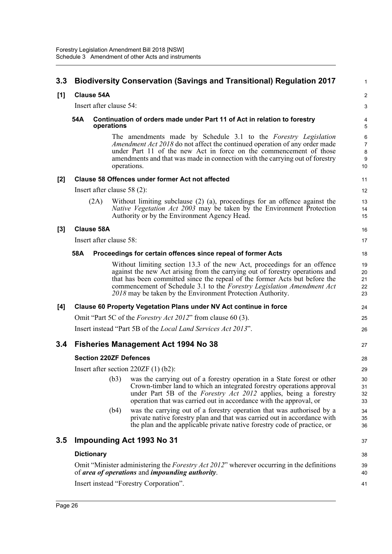| 3.3   |                         |                         |      | <b>Biodiversity Conservation (Savings and Transitional) Regulation 2017</b>                                                                                                                                                                                                                                                                                                    | $\mathbf{1}$                        |  |
|-------|-------------------------|-------------------------|------|--------------------------------------------------------------------------------------------------------------------------------------------------------------------------------------------------------------------------------------------------------------------------------------------------------------------------------------------------------------------------------|-------------------------------------|--|
| [1]   |                         | <b>Clause 54A</b>       |      |                                                                                                                                                                                                                                                                                                                                                                                | $\overline{2}$                      |  |
|       | Insert after clause 54: |                         |      |                                                                                                                                                                                                                                                                                                                                                                                |                                     |  |
|       | 54A                     | operations              |      | Continuation of orders made under Part 11 of Act in relation to forestry                                                                                                                                                                                                                                                                                                       |                                     |  |
|       |                         |                         |      | The amendments made by Schedule 3.1 to the Forestry Legislation<br><i>Amendment Act 2018</i> do not affect the continued operation of any order made<br>under Part 11 of the new Act in force on the commencement of those<br>amendments and that was made in connection with the carrying out of forestry<br>operations.                                                      | 6<br>$\overline{7}$<br>8<br>9<br>10 |  |
| $[2]$ |                         |                         |      | Clause 58 Offences under former Act not affected                                                                                                                                                                                                                                                                                                                               | 11                                  |  |
|       |                         |                         |      | Insert after clause $58(2)$ :                                                                                                                                                                                                                                                                                                                                                  | 12                                  |  |
|       |                         | (2A)                    |      | Without limiting subclause $(2)$ $(a)$ , proceedings for an offence against the<br>Native Vegetation Act 2003 may be taken by the Environment Protection<br>Authority or by the Environment Agency Head.                                                                                                                                                                       | 13<br>14<br>15                      |  |
| $[3]$ |                         | <b>Clause 58A</b>       |      |                                                                                                                                                                                                                                                                                                                                                                                | 16                                  |  |
|       |                         | Insert after clause 58: |      |                                                                                                                                                                                                                                                                                                                                                                                | 17                                  |  |
|       | 58A                     |                         |      | Proceedings for certain offences since repeal of former Acts                                                                                                                                                                                                                                                                                                                   | 18                                  |  |
|       |                         |                         |      | Without limiting section 13.3 of the new Act, proceedings for an offence<br>against the new Act arising from the carrying out of forestry operations and<br>that has been committed since the repeal of the former Acts but before the<br>commencement of Schedule 3.1 to the Forestry Legislation Amendment Act<br>2018 may be taken by the Environment Protection Authority. | 19<br>20<br>21<br>22<br>23          |  |
| [4]   |                         |                         |      | Clause 60 Property Vegetation Plans under NV Act continue in force                                                                                                                                                                                                                                                                                                             | 24                                  |  |
|       |                         |                         |      | Omit "Part 5C of the <i>Forestry Act 2012</i> " from clause 60 (3).                                                                                                                                                                                                                                                                                                            | 25                                  |  |
|       |                         |                         |      | Insert instead "Part 5B of the <i>Local Land Services Act 2013</i> ".                                                                                                                                                                                                                                                                                                          | 26                                  |  |
| 3.4   |                         |                         |      | <b>Fisheries Management Act 1994 No 38</b>                                                                                                                                                                                                                                                                                                                                     | 27                                  |  |
|       |                         |                         |      | <b>Section 220ZF Defences</b>                                                                                                                                                                                                                                                                                                                                                  | 28                                  |  |
|       |                         |                         |      | Insert after section $220ZF(1)(b2)$ :                                                                                                                                                                                                                                                                                                                                          | 29                                  |  |
|       |                         |                         | (b3) | was the carrying out of a forestry operation in a State forest or other<br>Crown-timber land to which an integrated forestry operations approval<br>under Part 5B of the Forestry Act 2012 applies, being a forestry<br>operation that was carried out in accordance with the approval, or                                                                                     | 30<br>31<br>32<br>33                |  |
|       |                         |                         | (b4) | was the carrying out of a forestry operation that was authorised by a<br>private native forestry plan and that was carried out in accordance with<br>the plan and the applicable private native forestry code of practice, or                                                                                                                                                  | 34<br>35<br>36                      |  |
| 3.5   |                         |                         |      | Impounding Act 1993 No 31                                                                                                                                                                                                                                                                                                                                                      | 37                                  |  |
|       |                         | <b>Dictionary</b>       |      |                                                                                                                                                                                                                                                                                                                                                                                | 38                                  |  |
|       |                         |                         |      | Omit "Minister administering the <i>Forestry Act 2012</i> " wherever occurring in the definitions<br>of area of operations and impounding authority.                                                                                                                                                                                                                           | 39<br>40                            |  |
|       |                         |                         |      | Insert instead "Forestry Corporation".                                                                                                                                                                                                                                                                                                                                         | 41                                  |  |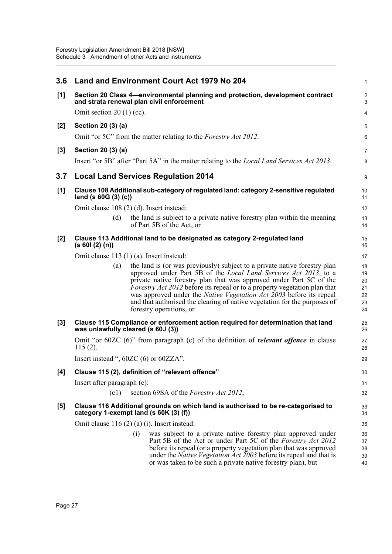| 3.6   | Land and Environment Court Act 1979 No 204                                                                                                                                                                                                                                                                                                                                                                                                                                                                    | 1                                      |
|-------|---------------------------------------------------------------------------------------------------------------------------------------------------------------------------------------------------------------------------------------------------------------------------------------------------------------------------------------------------------------------------------------------------------------------------------------------------------------------------------------------------------------|----------------------------------------|
| [1]   | Section 20 Class 4—environmental planning and protection, development contract<br>and strata renewal plan civil enforcement                                                                                                                                                                                                                                                                                                                                                                                   | 2<br>3                                 |
|       | Omit section $20(1)$ (cc).                                                                                                                                                                                                                                                                                                                                                                                                                                                                                    | 4                                      |
| [2]   | Section 20 (3) (a)                                                                                                                                                                                                                                                                                                                                                                                                                                                                                            | 5                                      |
|       | Omit "or 5C" from the matter relating to the Forestry Act 2012.                                                                                                                                                                                                                                                                                                                                                                                                                                               | 6                                      |
| $[3]$ | Section 20 (3) (a)                                                                                                                                                                                                                                                                                                                                                                                                                                                                                            | $\overline{7}$                         |
|       | Insert "or 5B" after "Part 5A" in the matter relating to the <i>Local Land Services Act 2013</i> .                                                                                                                                                                                                                                                                                                                                                                                                            | 8                                      |
| 3.7   | <b>Local Land Services Regulation 2014</b>                                                                                                                                                                                                                                                                                                                                                                                                                                                                    | 9                                      |
| [1]   | Clause 108 Additional sub-category of regulated land: category 2-sensitive regulated<br>land (s $60G(3)(c)$ )                                                                                                                                                                                                                                                                                                                                                                                                 | 10<br>11                               |
|       | Omit clause 108 (2) (d). Insert instead:                                                                                                                                                                                                                                                                                                                                                                                                                                                                      | 12                                     |
|       | (d)<br>the land is subject to a private native forestry plan within the meaning<br>of Part 5B of the Act, or                                                                                                                                                                                                                                                                                                                                                                                                  | 13<br>14                               |
| $[2]$ | Clause 113 Additional land to be designated as category 2-regulated land<br>(s 601 (2) (n))                                                                                                                                                                                                                                                                                                                                                                                                                   | 15<br>16                               |
|       | Omit clause 113 (1) (a). Insert instead:                                                                                                                                                                                                                                                                                                                                                                                                                                                                      | 17                                     |
|       | the land is (or was previously) subject to a private native forestry plan<br>(a)<br>approved under Part 5B of the <i>Local Land Services Act 2013</i> , to a<br>private native forestry plan that was approved under Part 5C of the<br><i>Forestry Act 2012</i> before its repeal or to a property vegetation plan that<br>was approved under the <i>Native Vegetation Act 2003</i> before its repeal<br>and that authorised the clearing of native vegetation for the purposes of<br>forestry operations, or | 18<br>19<br>20<br>21<br>22<br>23<br>24 |
| $[3]$ | Clause 115 Compliance or enforcement action required for determination that land<br>was unlawfully cleared (s 60J (3))                                                                                                                                                                                                                                                                                                                                                                                        | 25<br>26                               |
|       | Omit "or $60ZC(6)$ " from paragraph (c) of the definition of <i>relevant offence</i> in clause<br>$115(2)$ .                                                                                                                                                                                                                                                                                                                                                                                                  | 27<br>28                               |
|       | Insert instead ", $60ZC(6)$ or $60ZZA$ ".                                                                                                                                                                                                                                                                                                                                                                                                                                                                     | 29                                     |
| [4]   | Clause 115 (2), definition of "relevant offence"                                                                                                                                                                                                                                                                                                                                                                                                                                                              | 30                                     |
|       | Insert after paragraph (c):                                                                                                                                                                                                                                                                                                                                                                                                                                                                                   | 31                                     |
|       | section 69SA of the <i>Forestry Act 2012</i> ,<br>(c1)                                                                                                                                                                                                                                                                                                                                                                                                                                                        | 32                                     |
| [5]   | Clause 116 Additional grounds on which land is authorised to be re-categorised to<br>category 1-exempt land (s 60K (3) (f))                                                                                                                                                                                                                                                                                                                                                                                   | 33<br>34                               |
|       | Omit clause $116(2)$ (a) (i). Insert instead:                                                                                                                                                                                                                                                                                                                                                                                                                                                                 | 35                                     |
|       | was subject to a private native forestry plan approved under<br>(i)<br>Part 5B of the Act or under Part 5C of the Forestry Act 2012<br>before its repeal (or a property vegetation plan that was approved<br>under the <i>Native Vegetation Act 2003</i> before its repeal and that is<br>or was taken to be such a private native forestry plan), but                                                                                                                                                        | 36<br>37<br>38<br>39<br>40             |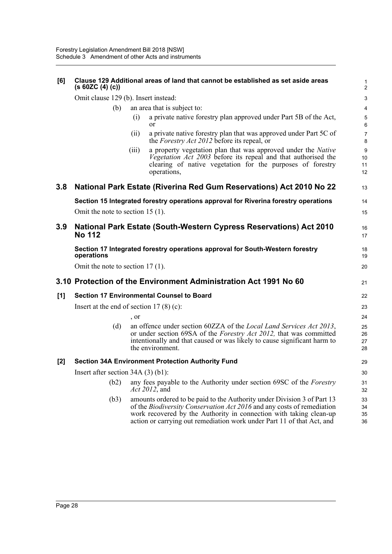| [6]   | (s 60ZC (4) (c))                     | Clause 129 Additional areas of land that cannot be established as set aside areas                                                                                                                                                                                                                        | 1<br>$\overline{2}$  |  |  |  |  |
|-------|--------------------------------------|----------------------------------------------------------------------------------------------------------------------------------------------------------------------------------------------------------------------------------------------------------------------------------------------------------|----------------------|--|--|--|--|
|       | Omit clause 129 (b). Insert instead: |                                                                                                                                                                                                                                                                                                          |                      |  |  |  |  |
|       | (b)                                  | an area that is subject to:                                                                                                                                                                                                                                                                              | 4                    |  |  |  |  |
|       |                                      | a private native forestry plan approved under Part 5B of the Act,<br>(i)<br>or                                                                                                                                                                                                                           | 5<br>$6\phantom{1}6$ |  |  |  |  |
|       |                                      | a private native forestry plan that was approved under Part 5C of<br>(ii)<br>the <i>Forestry Act 2012</i> before its repeal, or                                                                                                                                                                          | 7<br>8               |  |  |  |  |
|       |                                      | a property vegetation plan that was approved under the <i>Native</i><br>(iii)<br>Vegetation Act 2003 before its repeal and that authorised the<br>clearing of native vegetation for the purposes of forestry<br>operations,                                                                              | 9<br>10<br>11<br>12  |  |  |  |  |
| 3.8   |                                      | <b>National Park Estate (Riverina Red Gum Reservations) Act 2010 No 22</b>                                                                                                                                                                                                                               | 13                   |  |  |  |  |
|       |                                      | Section 15 Integrated forestry operations approval for Riverina forestry operations                                                                                                                                                                                                                      | 14                   |  |  |  |  |
|       | Omit the note to section 15 $(1)$ .  |                                                                                                                                                                                                                                                                                                          | 15                   |  |  |  |  |
| 3.9   | <b>No 112</b>                        | <b>National Park Estate (South-Western Cypress Reservations) Act 2010</b>                                                                                                                                                                                                                                | 16<br>17             |  |  |  |  |
|       | operations                           | Section 17 Integrated forestry operations approval for South-Western forestry                                                                                                                                                                                                                            | 18<br>19             |  |  |  |  |
|       | Omit the note to section $17(1)$ .   |                                                                                                                                                                                                                                                                                                          | 20                   |  |  |  |  |
|       |                                      | 3.10 Protection of the Environment Administration Act 1991 No 60                                                                                                                                                                                                                                         | 21                   |  |  |  |  |
| [1]   |                                      | <b>Section 17 Environmental Counsel to Board</b>                                                                                                                                                                                                                                                         | 22                   |  |  |  |  |
|       |                                      | Insert at the end of section $17(8)(c)$ :                                                                                                                                                                                                                                                                | 23                   |  |  |  |  |
|       |                                      | , or                                                                                                                                                                                                                                                                                                     | 24                   |  |  |  |  |
|       | (d)                                  | an offence under section 60ZZA of the <i>Local Land Services Act 2013</i> ,<br>or under section 69SA of the <i>Forestry Act 2012</i> , that was committed<br>intentionally and that caused or was likely to cause significant harm to<br>the environment.                                                | 25<br>26<br>27<br>28 |  |  |  |  |
| $[2]$ |                                      | <b>Section 34A Environment Protection Authority Fund</b>                                                                                                                                                                                                                                                 | 29                   |  |  |  |  |
|       | Insert after section $34A(3)(b1)$ :  |                                                                                                                                                                                                                                                                                                          | 30                   |  |  |  |  |
|       | (b2)                                 | any fees payable to the Authority under section 69SC of the <i>Forestry</i><br>Act 2012, and                                                                                                                                                                                                             | 31<br>32             |  |  |  |  |
|       | (b3)                                 | amounts ordered to be paid to the Authority under Division 3 of Part 13<br>of the <i>Biodiversity Conservation Act 2016</i> and any costs of remediation<br>work recovered by the Authority in connection with taking clean-up<br>action or carrying out remediation work under Part 11 of that Act, and | 33<br>34<br>35<br>36 |  |  |  |  |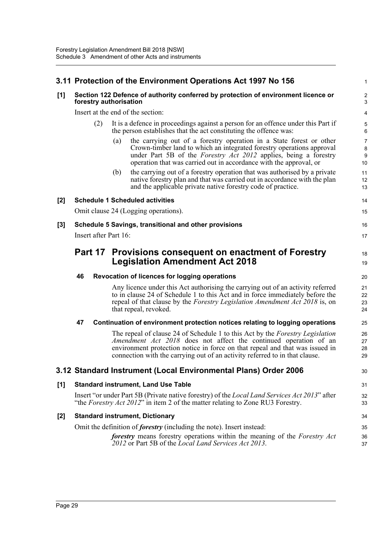|       |                                                                                                              |                       |     | 3.11 Protection of the Environment Operations Act 1997 No 156                                                                                                                                                                                                                                                           | 1                    |  |
|-------|--------------------------------------------------------------------------------------------------------------|-----------------------|-----|-------------------------------------------------------------------------------------------------------------------------------------------------------------------------------------------------------------------------------------------------------------------------------------------------------------------------|----------------------|--|
| [1]   | Section 122 Defence of authority conferred by protection of environment licence or<br>forestry authorisation |                       |     |                                                                                                                                                                                                                                                                                                                         |                      |  |
|       |                                                                                                              |                       |     | Insert at the end of the section:                                                                                                                                                                                                                                                                                       | 4                    |  |
|       |                                                                                                              | (2)                   |     | It is a defence in proceedings against a person for an offence under this Part if<br>the person establishes that the act constituting the offence was:                                                                                                                                                                  | 5<br>6               |  |
|       |                                                                                                              |                       | (a) | the carrying out of a forestry operation in a State forest or other<br>Crown-timber land to which an integrated forestry operations approval<br>under Part 5B of the <i>Forestry Act 2012</i> applies, being a forestry<br>operation that was carried out in accordance with the approval, or                           | 7<br>8<br>9<br>10    |  |
|       |                                                                                                              |                       | (b) | the carrying out of a forestry operation that was authorised by a private<br>native forestry plan and that was carried out in accordance with the plan<br>and the applicable private native forestry code of practice.                                                                                                  | 11<br>12<br>13       |  |
| [2]   |                                                                                                              |                       |     | <b>Schedule 1 Scheduled activities</b>                                                                                                                                                                                                                                                                                  | 14                   |  |
|       |                                                                                                              |                       |     | Omit clause 24 (Logging operations).                                                                                                                                                                                                                                                                                    | 15                   |  |
| $[3]$ |                                                                                                              |                       |     | Schedule 5 Savings, transitional and other provisions                                                                                                                                                                                                                                                                   | 16                   |  |
|       |                                                                                                              | Insert after Part 16: |     |                                                                                                                                                                                                                                                                                                                         | 17                   |  |
|       |                                                                                                              | Part 17               |     | <b>Provisions consequent on enactment of Forestry</b><br><b>Legislation Amendment Act 2018</b>                                                                                                                                                                                                                          | 18<br>19             |  |
|       | 46                                                                                                           |                       |     | Revocation of licences for logging operations                                                                                                                                                                                                                                                                           | 20                   |  |
|       |                                                                                                              |                       |     | Any licence under this Act authorising the carrying out of an activity referred<br>to in clause 24 of Schedule 1 to this Act and in force immediately before the<br>repeal of that clause by the <i>Forestry Legislation Amendment Act 2018</i> is, on<br>that repeal, revoked.                                         | 21<br>22<br>23<br>24 |  |
|       | 47                                                                                                           |                       |     | Continuation of environment protection notices relating to logging operations                                                                                                                                                                                                                                           | 25                   |  |
|       |                                                                                                              |                       |     | The repeal of clause 24 of Schedule 1 to this Act by the <i>Forestry Legislation</i><br>Amendment Act 2018 does not affect the continued operation of an<br>environment protection notice in force on that repeal and that was issued in<br>connection with the carrying out of an activity referred to in that clause. | 26<br>27<br>28<br>29 |  |
|       |                                                                                                              |                       |     | 3.12 Standard Instrument (Local Environmental Plans) Order 2006                                                                                                                                                                                                                                                         | 30                   |  |
| [1]   |                                                                                                              |                       |     | <b>Standard instrument, Land Use Table</b>                                                                                                                                                                                                                                                                              | 31                   |  |
|       |                                                                                                              |                       |     | Insert "or under Part 5B (Private native forestry) of the <i>Local Land Services Act 2013</i> " after<br>"the Forestry Act 2012" in item 2 of the matter relating to Zone RU3 Forestry.                                                                                                                                 | 32<br>33             |  |
| $[2]$ |                                                                                                              |                       |     | <b>Standard instrument, Dictionary</b>                                                                                                                                                                                                                                                                                  | 34                   |  |
|       |                                                                                                              |                       |     | Omit the definition of <i>forestry</i> (including the note). Insert instead:                                                                                                                                                                                                                                            | 35                   |  |
|       |                                                                                                              |                       |     | <b>forestry</b> means forestry operations within the meaning of the <i>Forestry Act</i><br>2012 or Part 5B of the <i>Local Land Services Act 2013</i> .                                                                                                                                                                 | 36<br>37             |  |